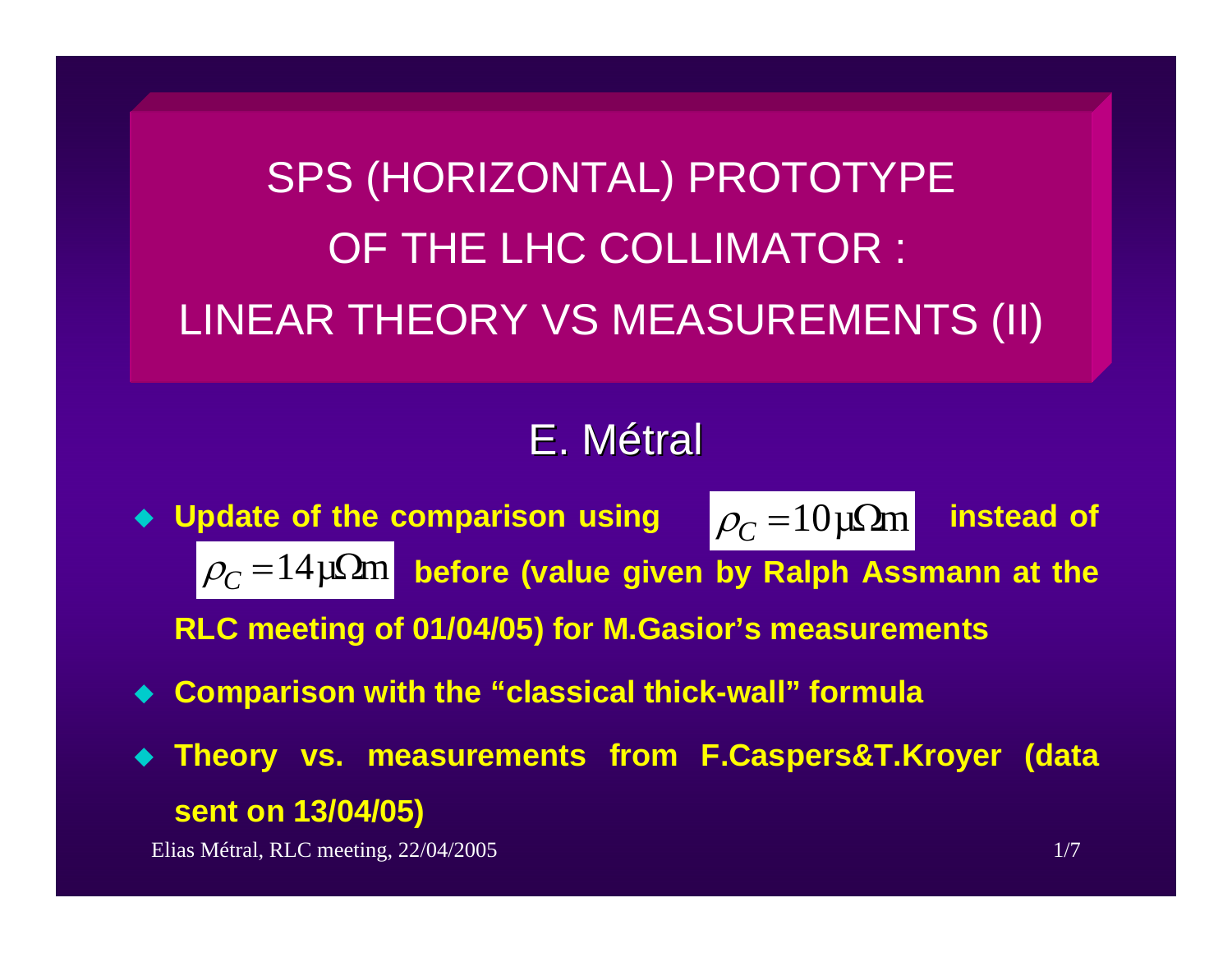SPS (HORIZONTAL) PROTOTYPE OF THE LHC COLLIMATOR : LINEAR THEORY VS MEASUREMENTS (II)

# E.Métral

- $\blacklozenge$  Update of the comparison using  $\rho_{C} = 10 \mu \Omega$ m instead of  $\rho_{C}$  = $14\mu\Omega$ m before (value given by Ralph Assmann at the **RLC meeting of 01/04/05) for M.Gasior's measurements**  $\rho_{C}^{}$  = 10μΩm
- $\blacklozenge$ **Comparison with the "classical thick-wall" formula**
- $\blacklozenge$  **Theory vs. measurements from F.Caspers&T.Kroyer (data sent on 13/04/05)**

Elias Métral, RLC meeting, 22/04/2005 1/7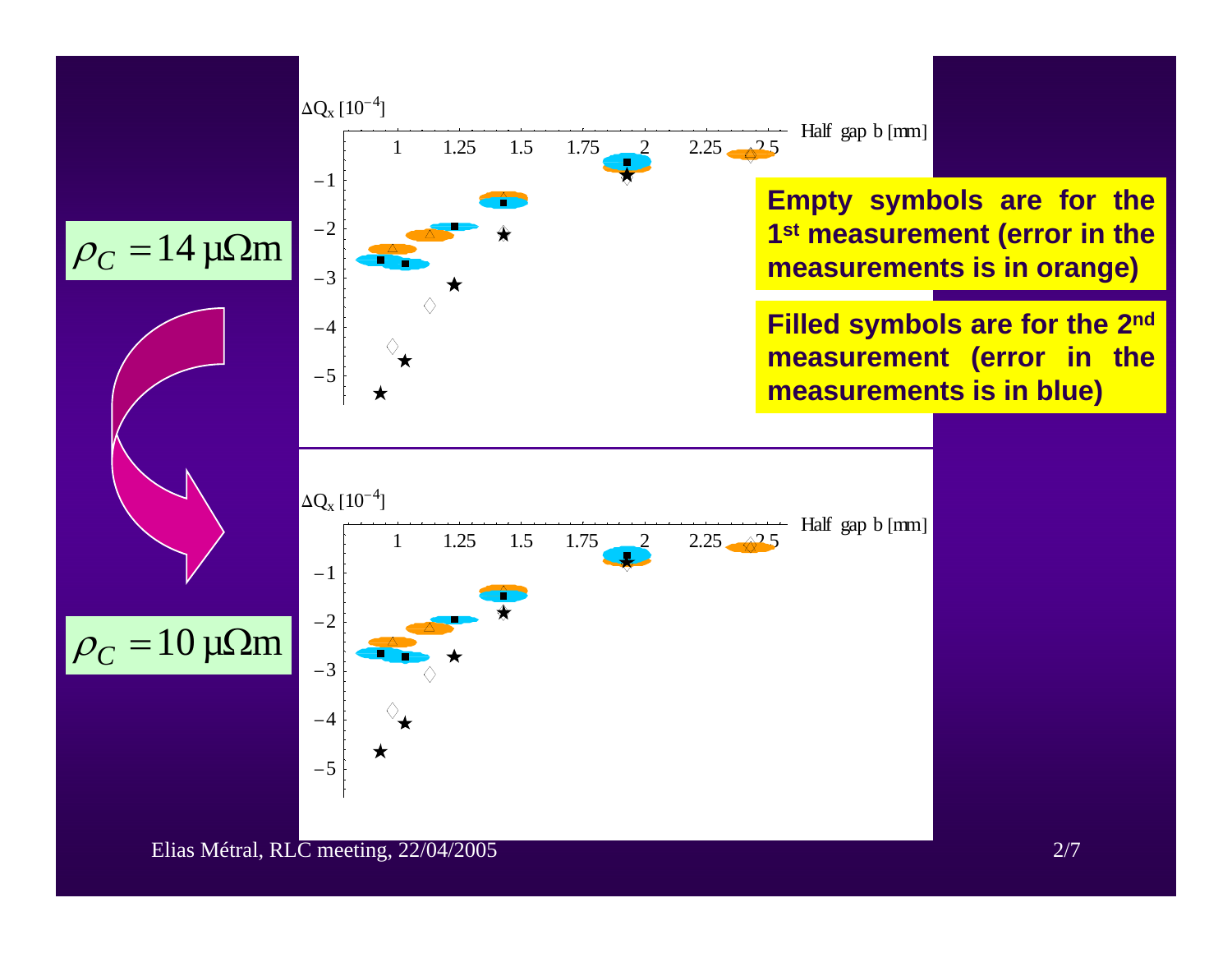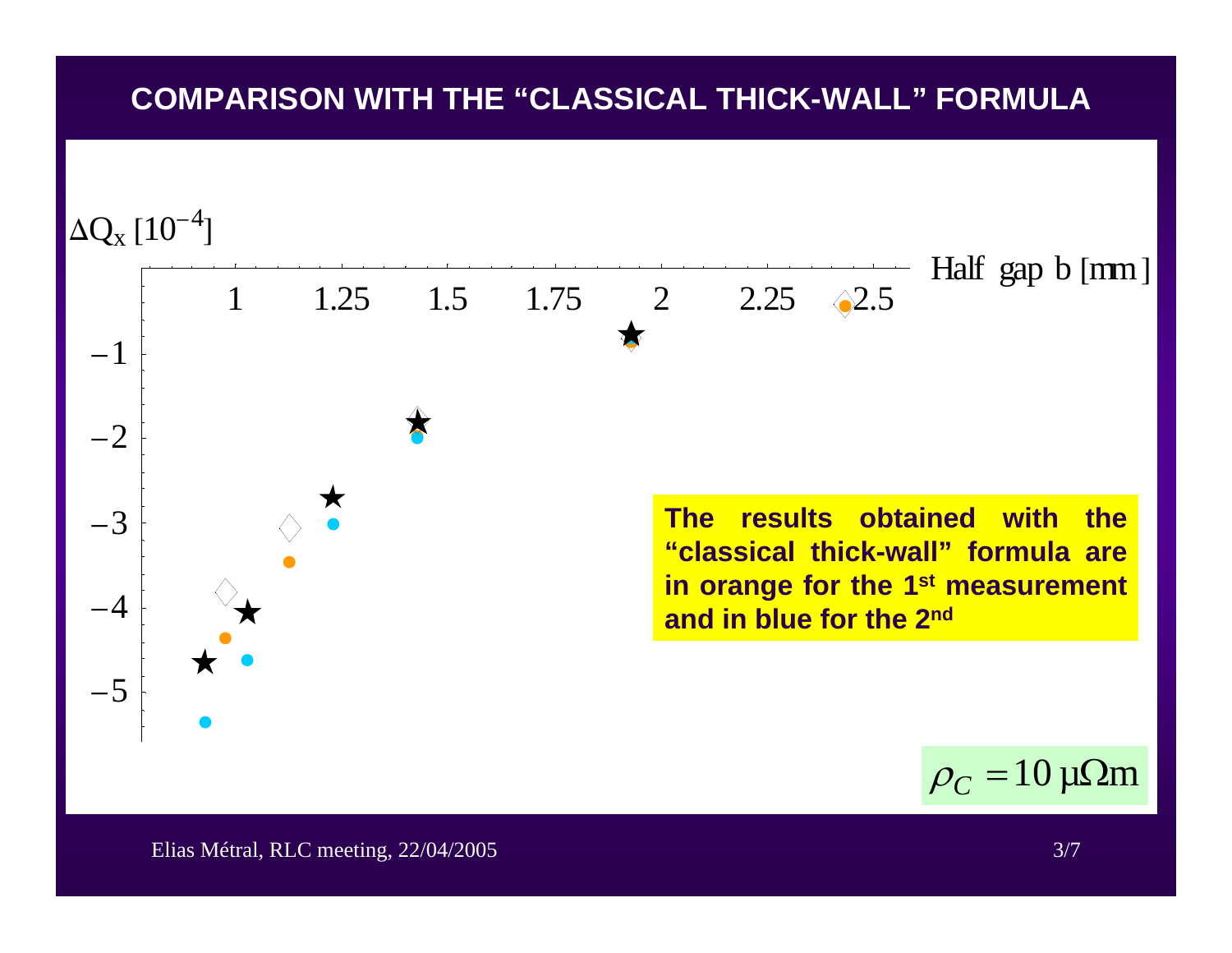# **COMPARISON WITH THE "CLASSICAL THICK-WALL" FORMULA**



Elias Métral, RLC meeting, 22/04/2005 3/7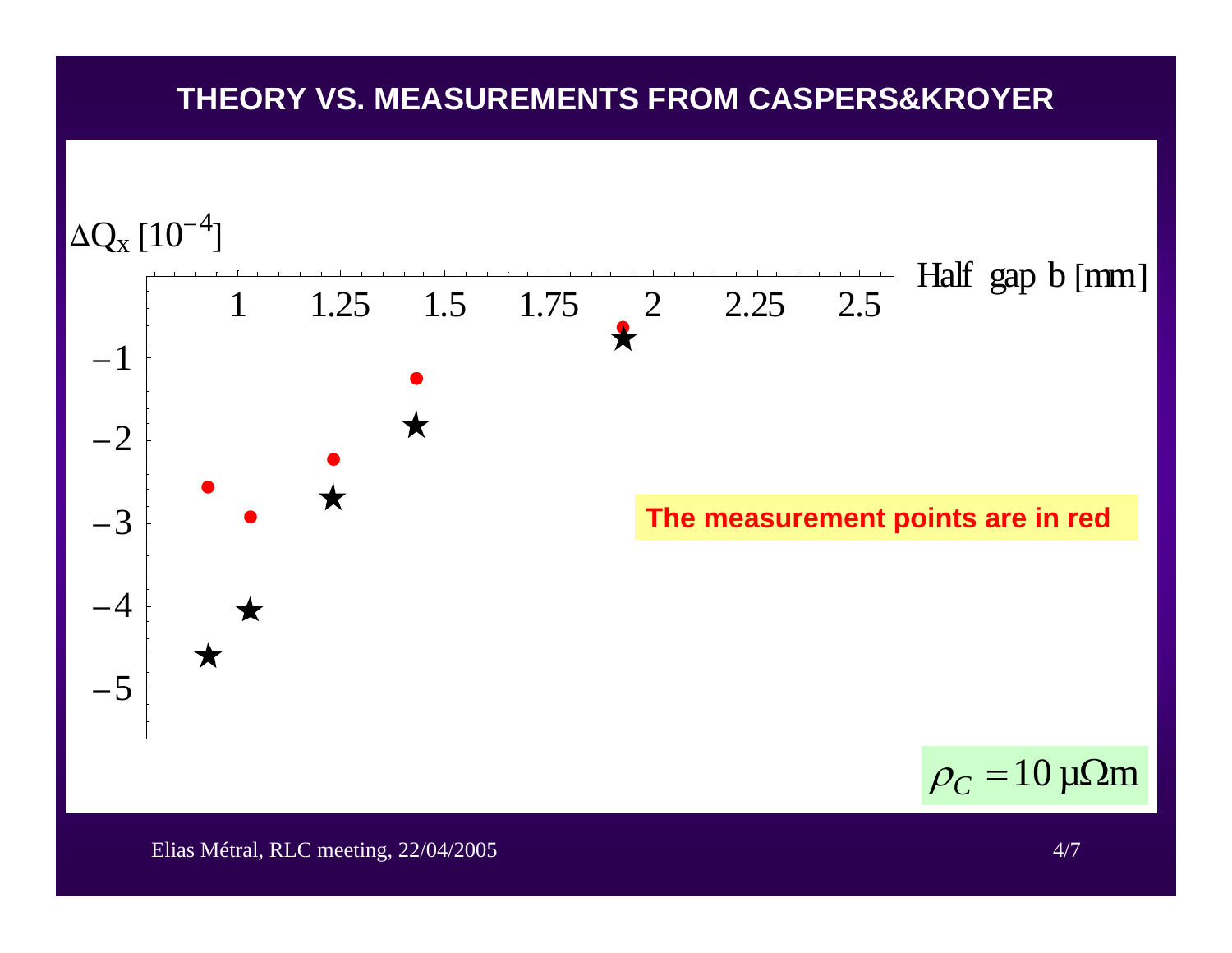# **THEORY VS. MEASUREMENTS FROM CASPERS&KROYER**

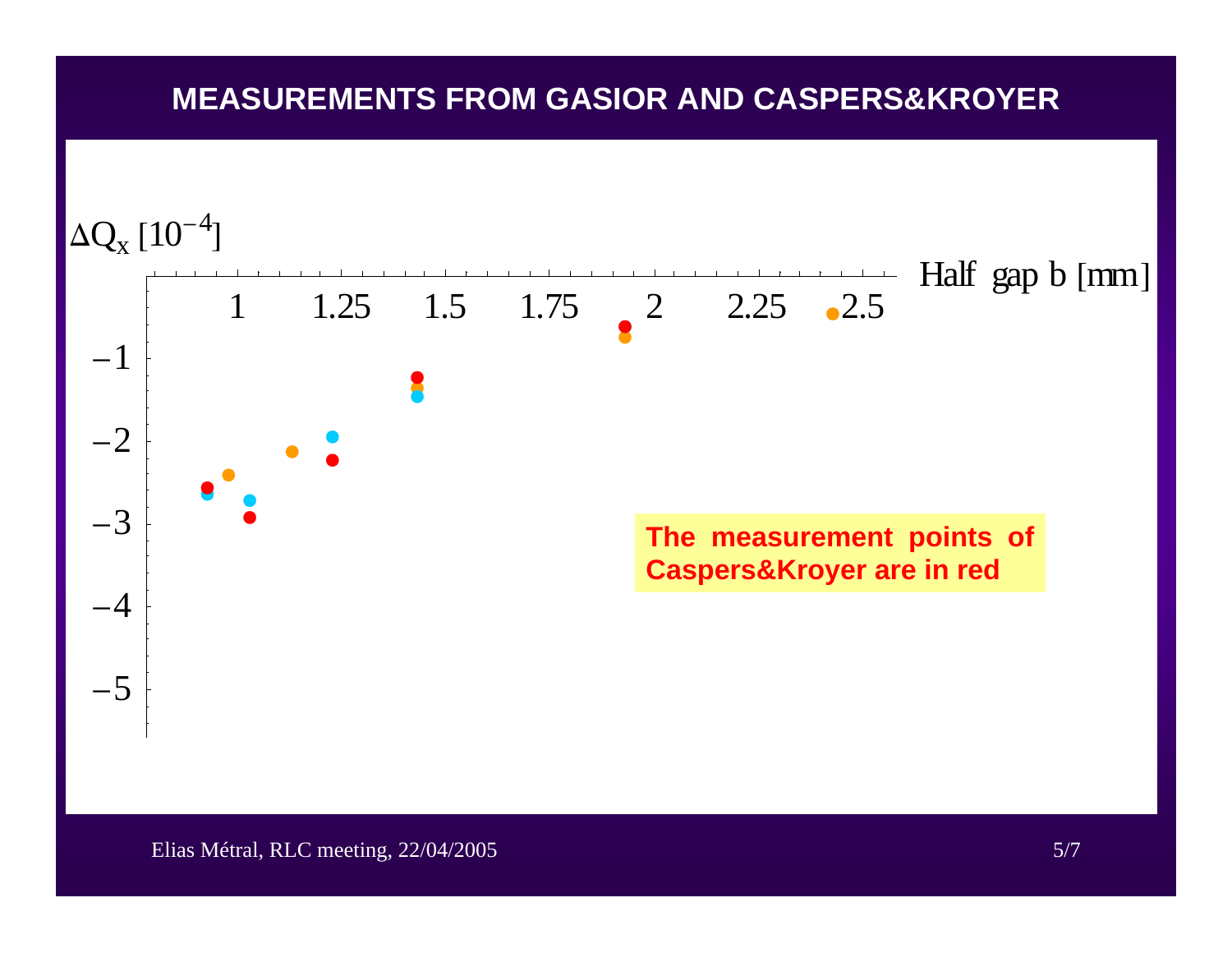# **MEASUREMENTS FROM GASIOR AND CASPERS&KROYER**

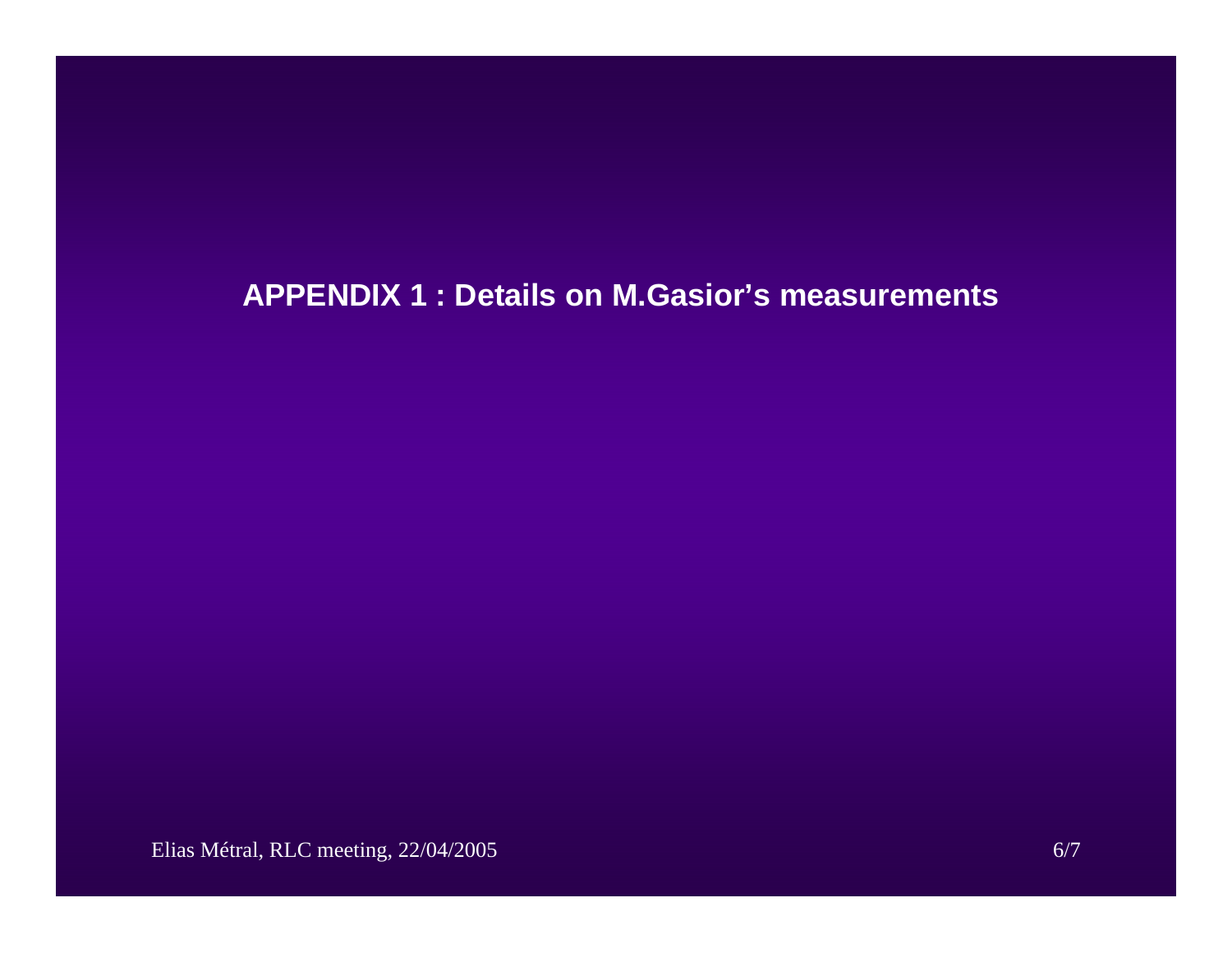# **APPENDIX 1 : Details on M.Gasior's measurements**

Elias Métral, RLC meeting, 22/04/2005 6/7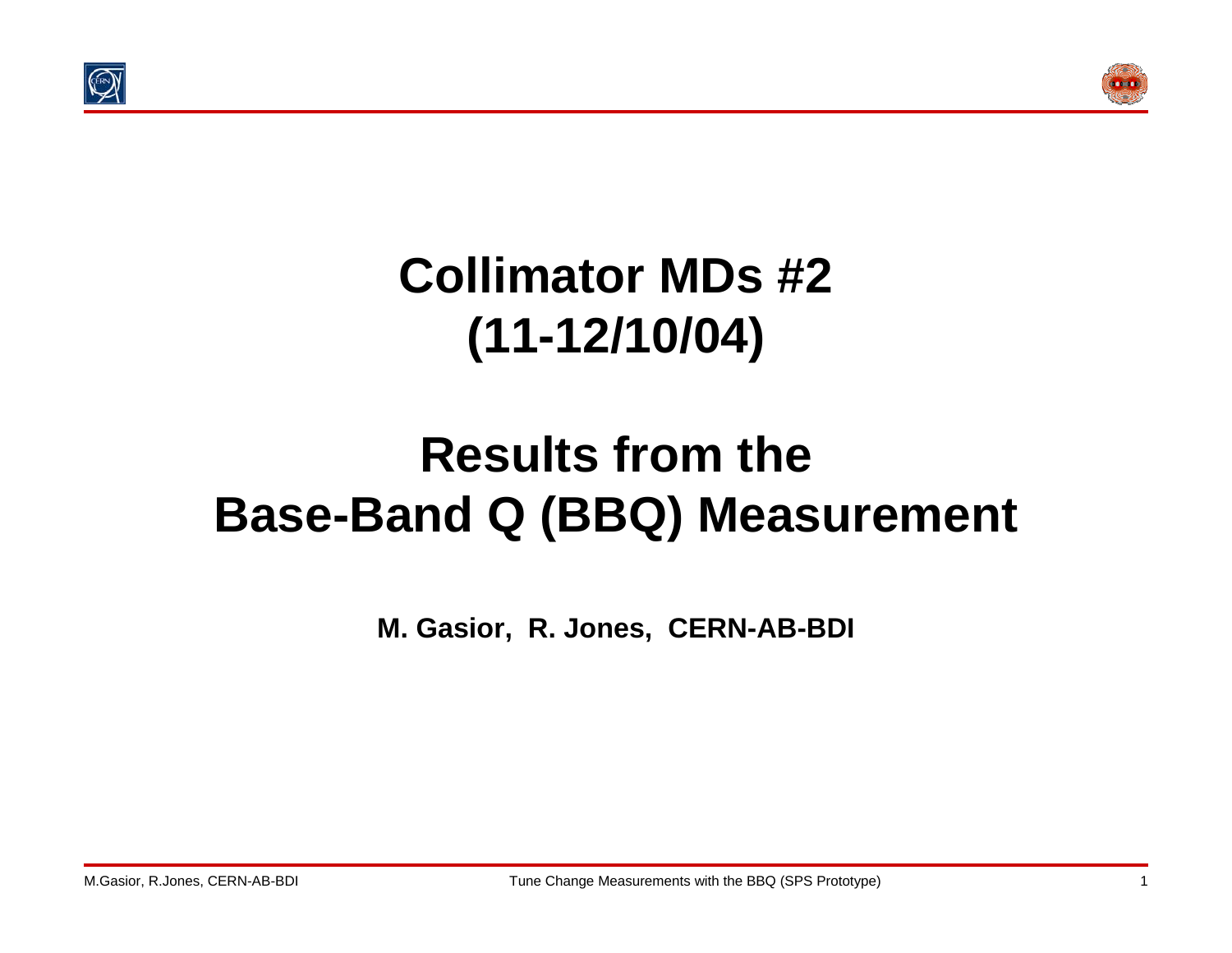



# **Collimator MDs #2 (11-12/10/04)**

# **Results from theBase-Band Q (BBQ) Measurement**

**M. Gasior, R. Jones, CERN-AB-BDI**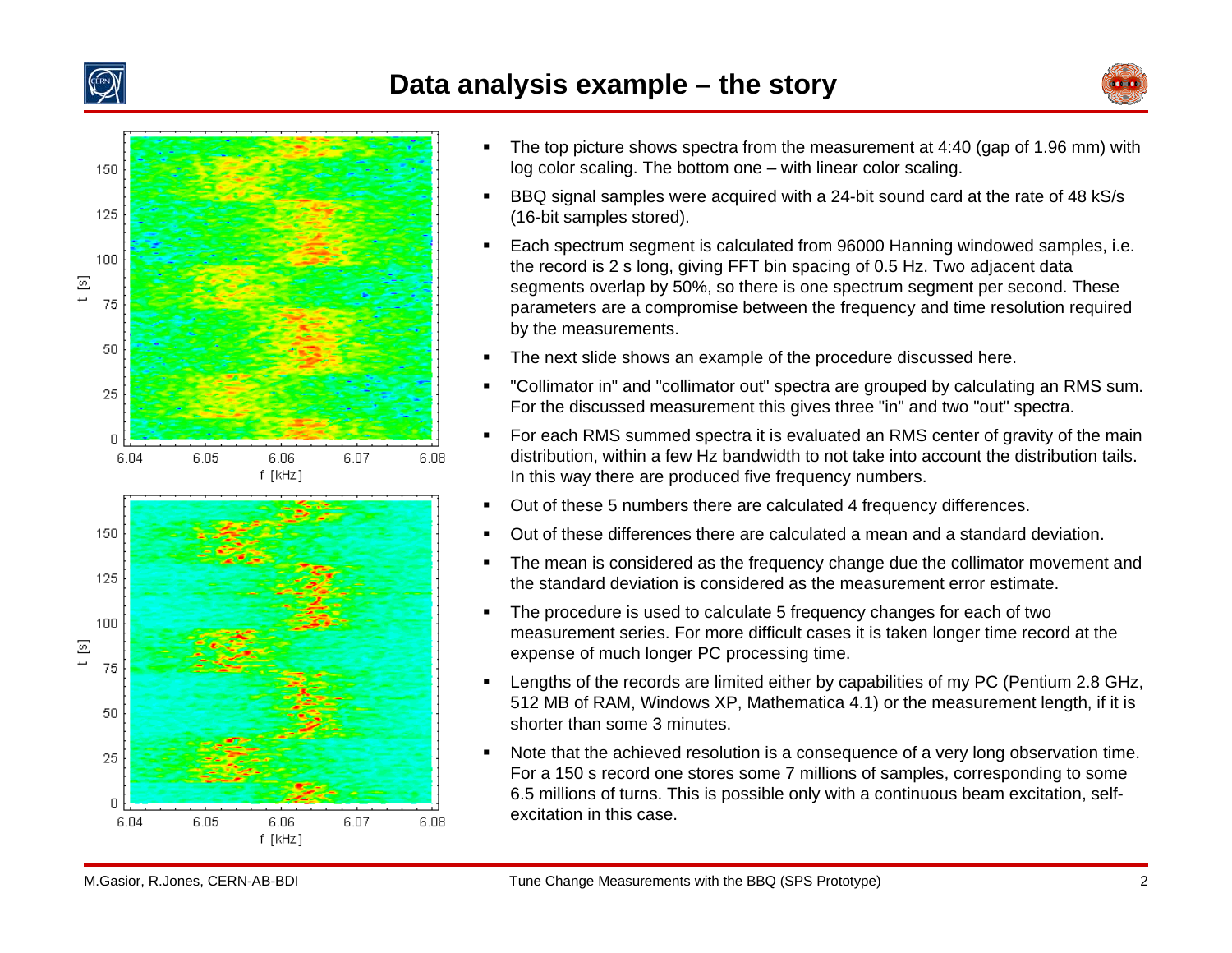

### **Data analysis example – the story**





- $\blacksquare$  The top picture shows spectra from the measurement at 4:40 (gap of 1.96 mm) with log color scaling. The bottom one – with linear color scaling.
- $\blacksquare$  BBQ signal samples were acquired with a 24-bit sound card at the rate of 48 kS/s (16-bit samples stored).
- $\blacksquare$  Each spectrum segment is calculated from 96000 Hanning windowed samples, i.e. the record is 2 s long, giving FFT bin spacing of 0.5 Hz. Two adjacent data segments overlap by 50%, so there is one spectrum segment per second. These parameters are a compromise between the frequency and time resolution required by the measurements.
- $\blacksquare$ The next slide shows an example of the procedure discussed here.
- $\blacksquare$  "Collimator in" and "collimator out" spectra are grouped by calculating an RMS sum. For the discussed measurement this gives three "in" and two "out" spectra.
- $\blacksquare$  For each RMS summed spectra it is evaluated an RMS center of gravity of the main distribution, within a few Hz bandwidth to not take into account the distribution tails. In this way there are produced five frequency numbers.
- $\blacksquare$ Out of these 5 numbers there are calculated 4 frequency differences.
- $\blacksquare$ Out of these differences there are calculated a mean and a standard deviation.
- $\blacksquare$  The mean is considered as the frequency change due the collimator movement and the standard deviation is considered as the measurement error estimate.
- $\blacksquare$  The procedure is used to calculate 5 frequency changes for each of two measurement series. For more difficult cases it is taken longer time record at the expense of much longer PC processing time.
- $\blacksquare$  Lengths of the records are limited either by capabilities of my PC (Pentium 2.8 GHz, 512 MB of RAM, Windows XP, Mathematica 4.1) or the measurement length, if it is shorter than some 3 minutes.
- $\blacksquare$  Note that the achieved resolution is a consequence of a very long observation time. For a 150 s record one stores some 7 millions of samples, corresponding to some 6.5 millions of turns. This is possible only with a continuous beam excitation, selfexcitation in this case.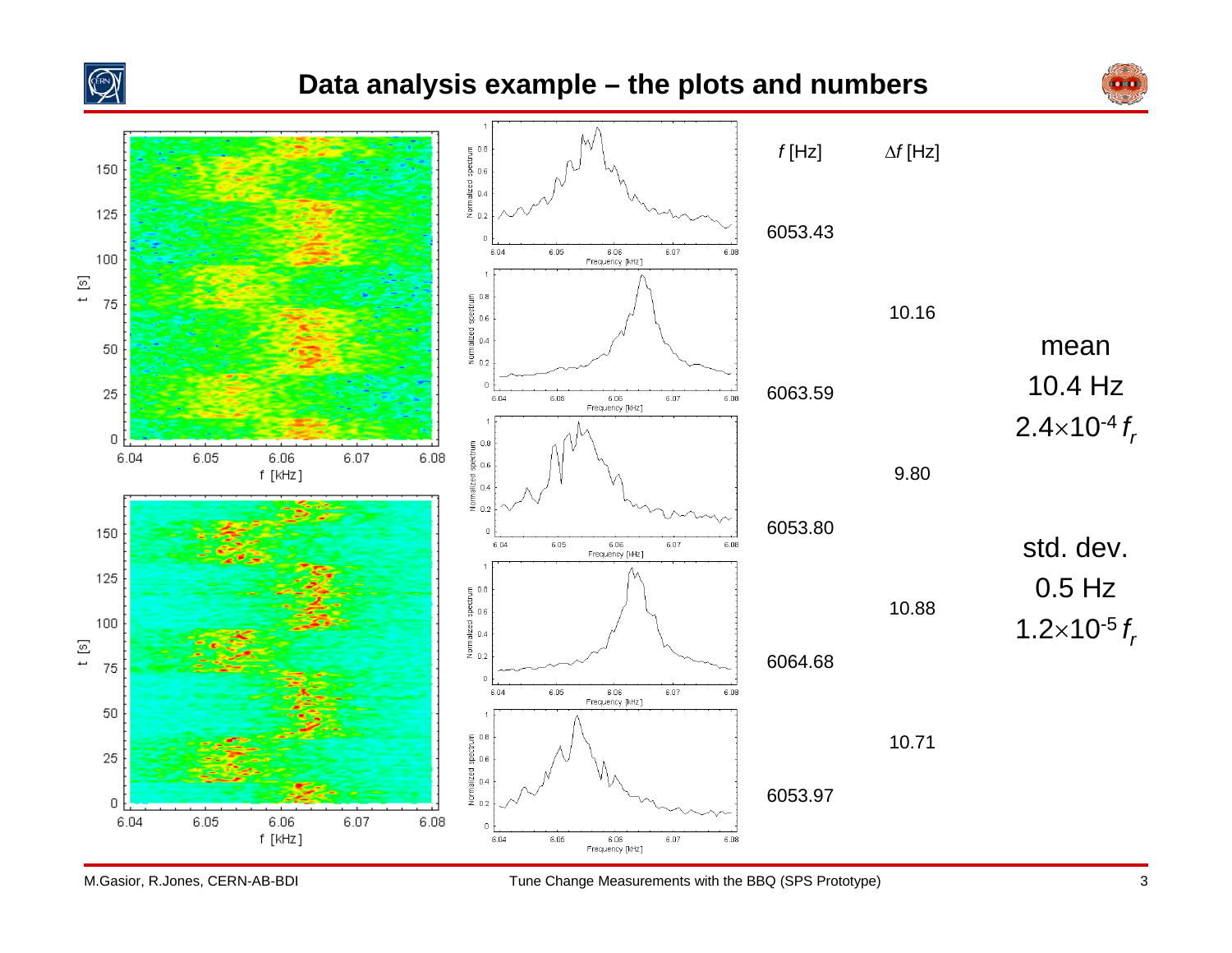

## **Data analysis example – the plots and numbers**



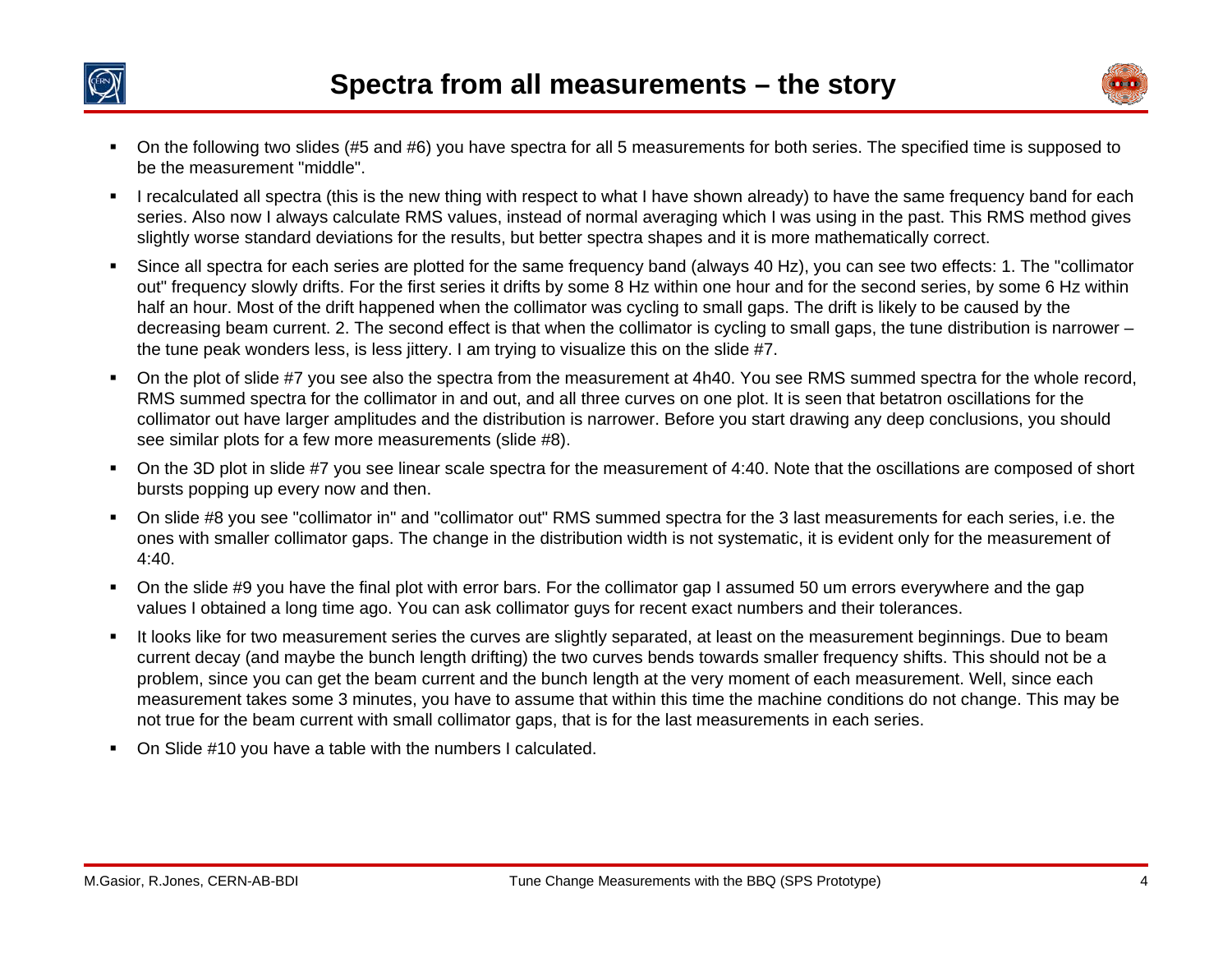



- On the following two slides (#5 and #6) you have spectra for all 5 measurements for both series. The specified time is supposed to be the measurement "middle".
- $\blacksquare$  I recalculated all spectra (this is the new thing with respect to what I have shown already) to have the same frequency band for each series. Also now I always calculate RMS values, instead of normal averaging which I was using in the past. This RMS method gives slightly worse standard deviations for the results, but better spectra shapes and it is more mathematically correct.
- Since all spectra for each series are plotted for the same frequency band (always 40 Hz), you can see two effects: 1. The "collimator out" frequency slowly drifts. For the first series it drifts by some 8 Hz within one hour and for the second series, by some 6 Hz within half an hour. Most of the drift happened when the collimator was cycling to small gaps. The drift is likely to be caused by the decreasing beam current. 2. The second effect is that when the collimator is cycling to small gaps, the tune distribution is narrower – the tune peak wonders less, is less jittery. I am trying to visualize this on the slide #7.
- $\blacksquare$  On the plot of slide #7 you see also the spectra from the measurement at 4h40. You see RMS summed spectra for the whole record, RMS summed spectra for the collimator in and out, and all three curves on one plot. It is seen that betatron oscillations for the collimator out have larger amplitudes and the distribution is narrower. Before you start drawing any deep conclusions, you should see similar plots for a few more measurements (slide #8).
- On the 3D plot in slide #7 you see linear scale spectra for the measurement of 4:40. Note that the oscillations are composed of short bursts popping up every now and then.
- $\blacksquare$  On slide #8 you see "collimator in" and "collimator out" RMS summed spectra for the 3 last measurements for each series, i.e. the ones with smaller collimator gaps. The change in the distribution width is not systematic, it is evident only for the measurement of 4:40.
- П On the slide #9 you have the final plot with error bars. For the collimator gap I assumed 50 um errors everywhere and the gap values I obtained a long time ago. You can ask collimator guys for recent exact numbers and their tolerances.
- $\blacksquare$  It looks like for two measurement series the curves are slightly separated, at least on the measurement beginnings. Due to beam current decay (and maybe the bunch length drifting) the two curves bends towards smaller frequency shifts. This should not be a problem, since you can get the beam current and the bunch length at the very moment of each measurement. Well, since each measurement takes some 3 minutes, you have to assume that within this time the machine conditions do not change. This may be not true for the beam current with small collimator gaps, that is for the last measurements in each series.
- On Slide #10 you have a table with the numbers I calculated.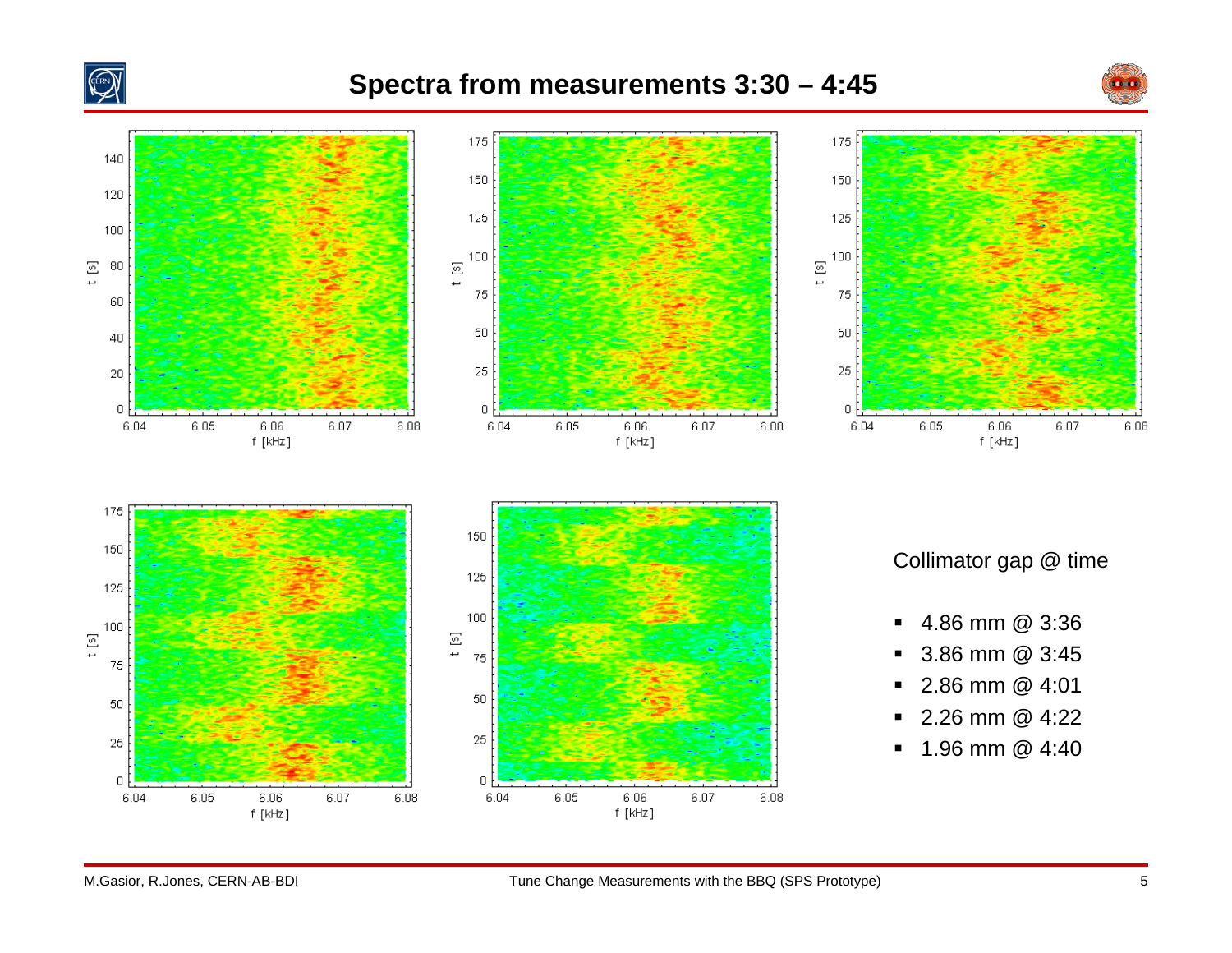

## **Spectra from measurements 3:30 – 4:45**



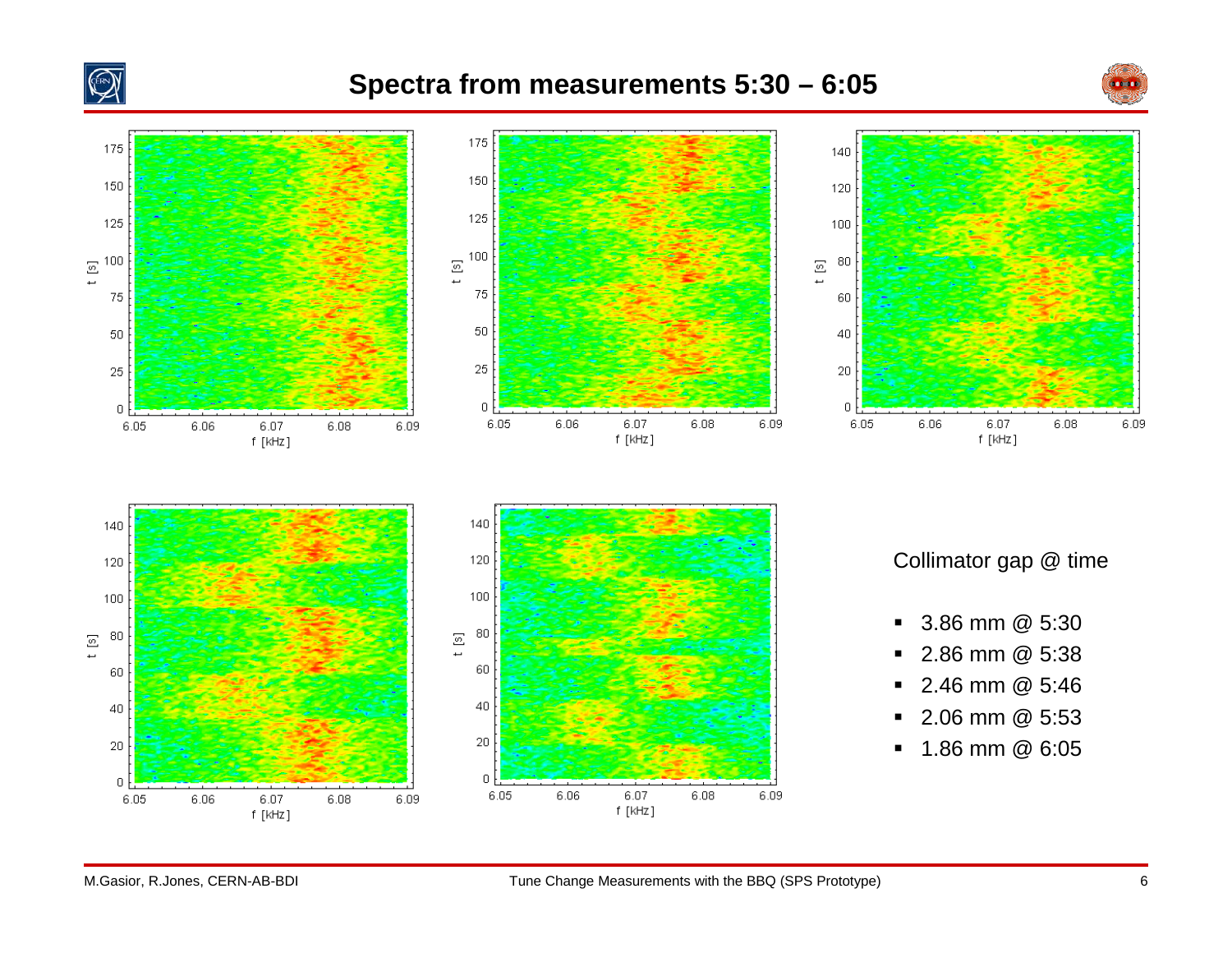

## **Spectra from measurements 5:30 – 6:05**



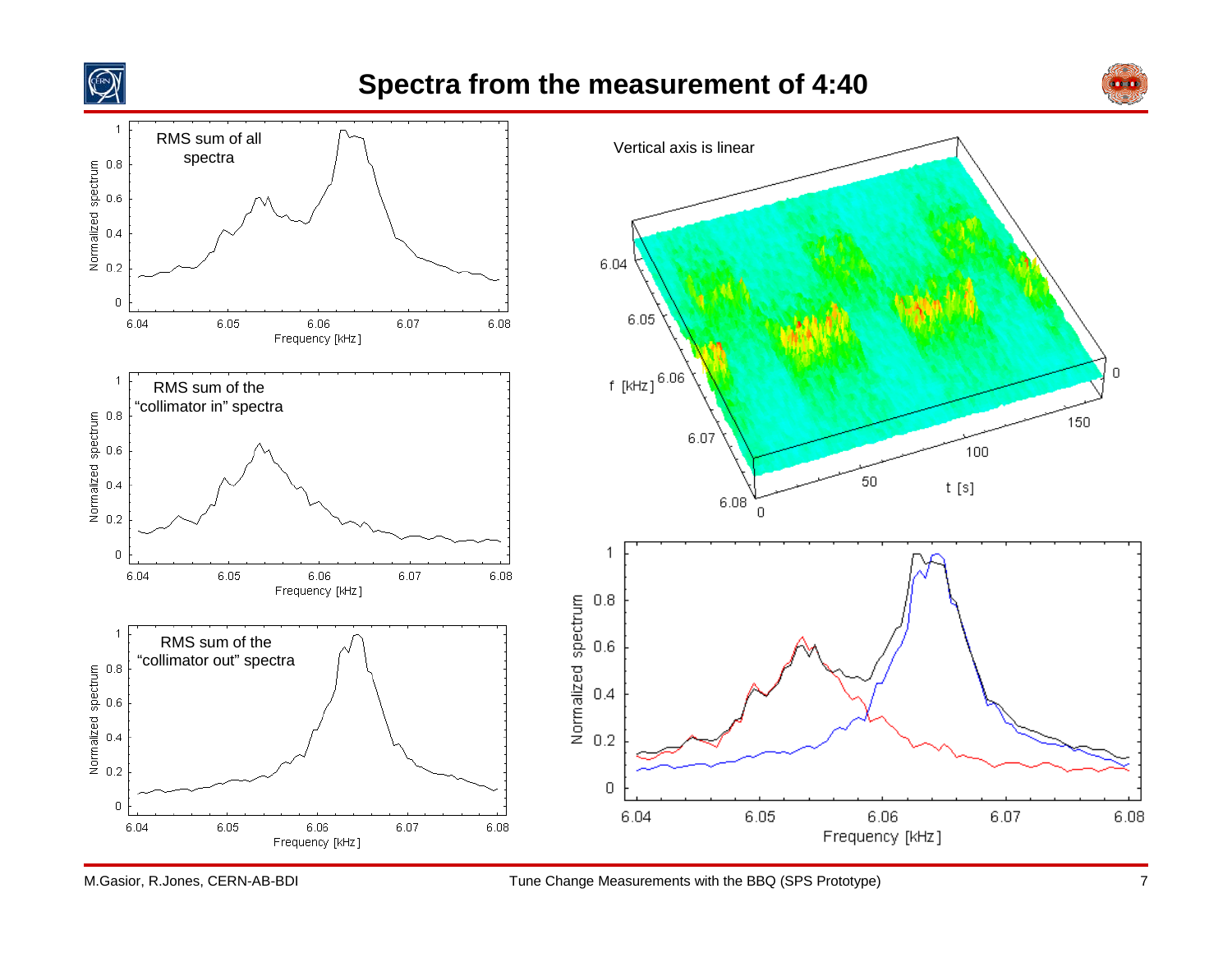

## **Spectra from the measurement of 4:40**



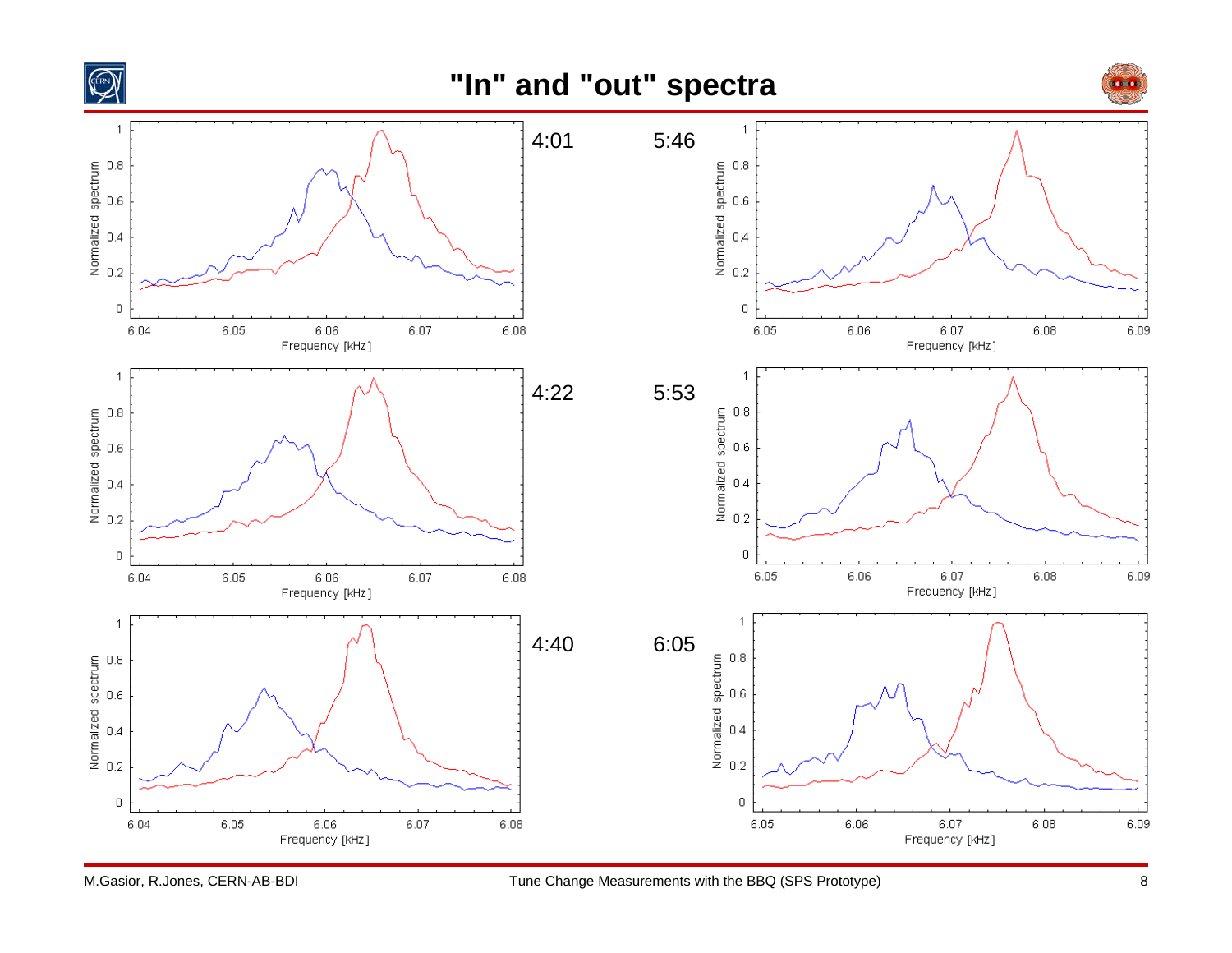

## **"In" and "out" spectra**



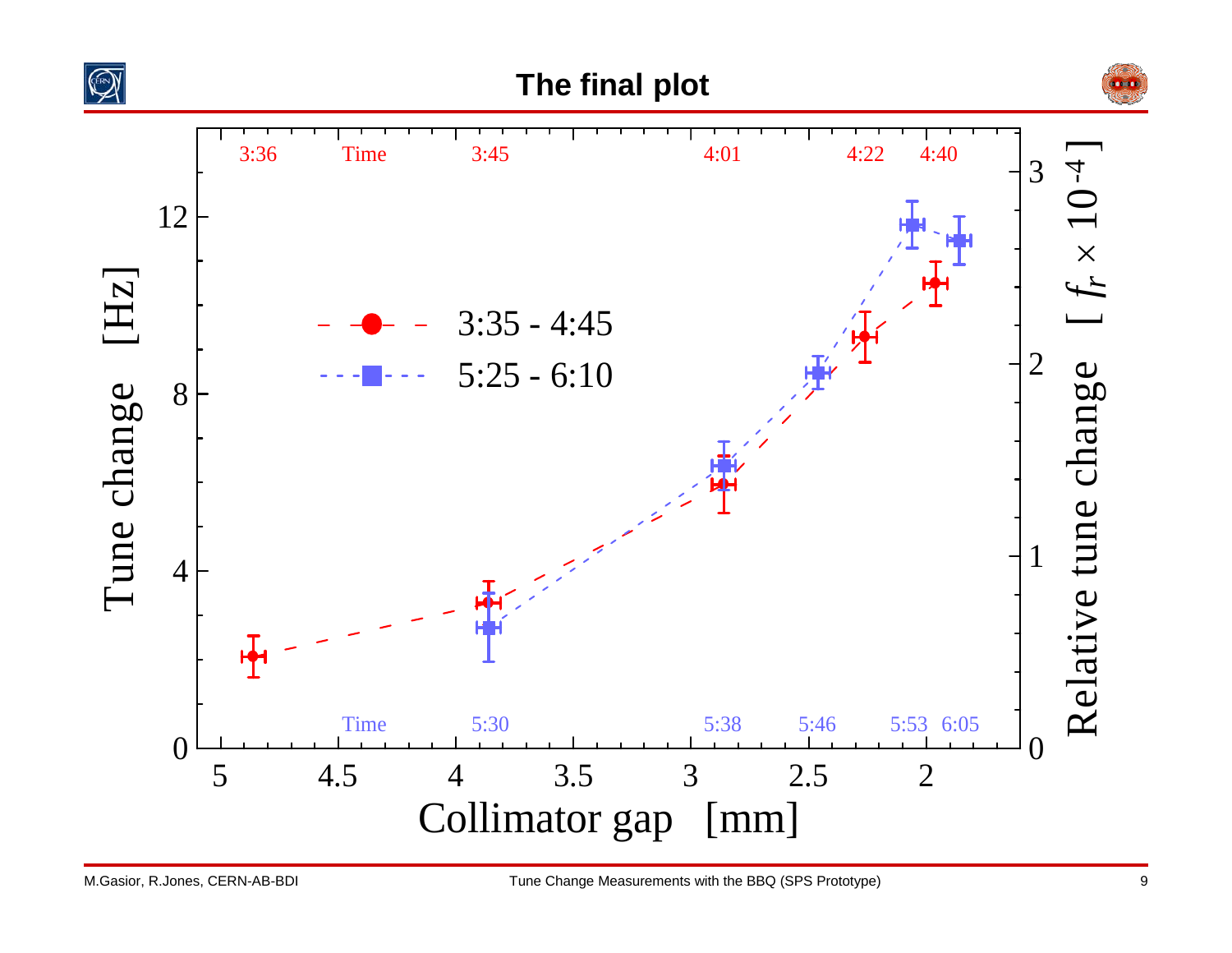



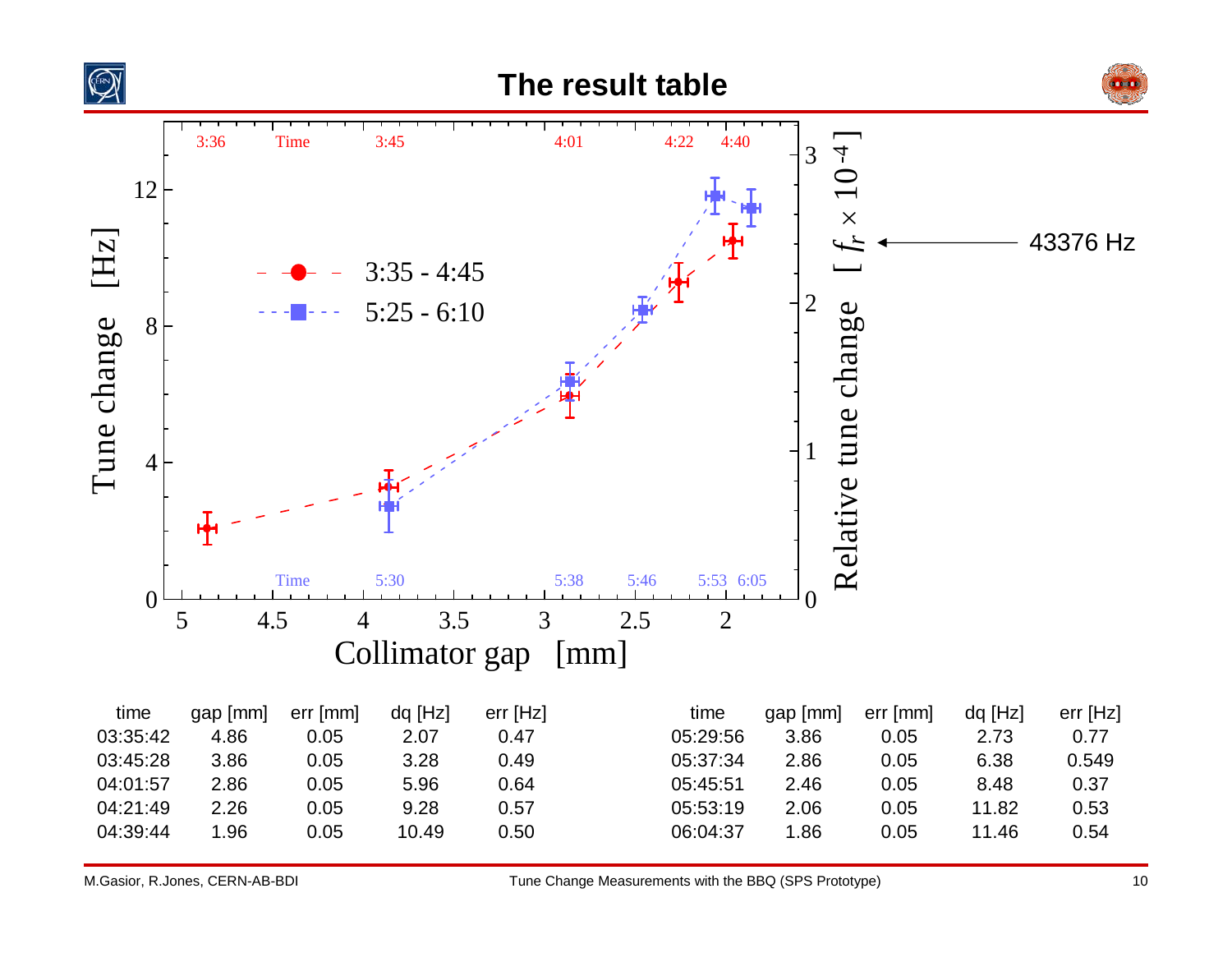



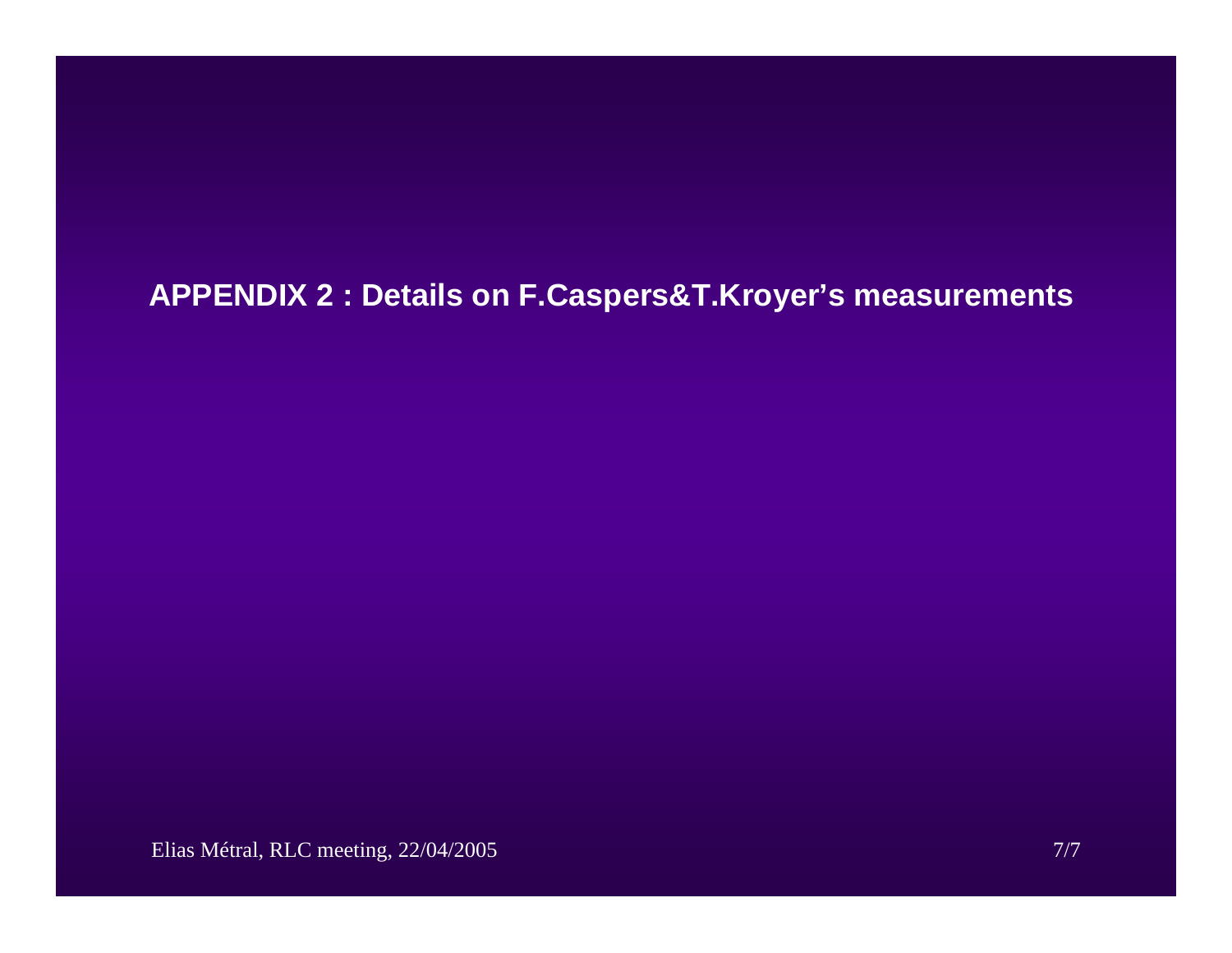# **APPENDIX 2 : Details on F.Caspers&T.Kroyer's measurements**

Elias Métral, RLC meeting, 22/04/2005 7/7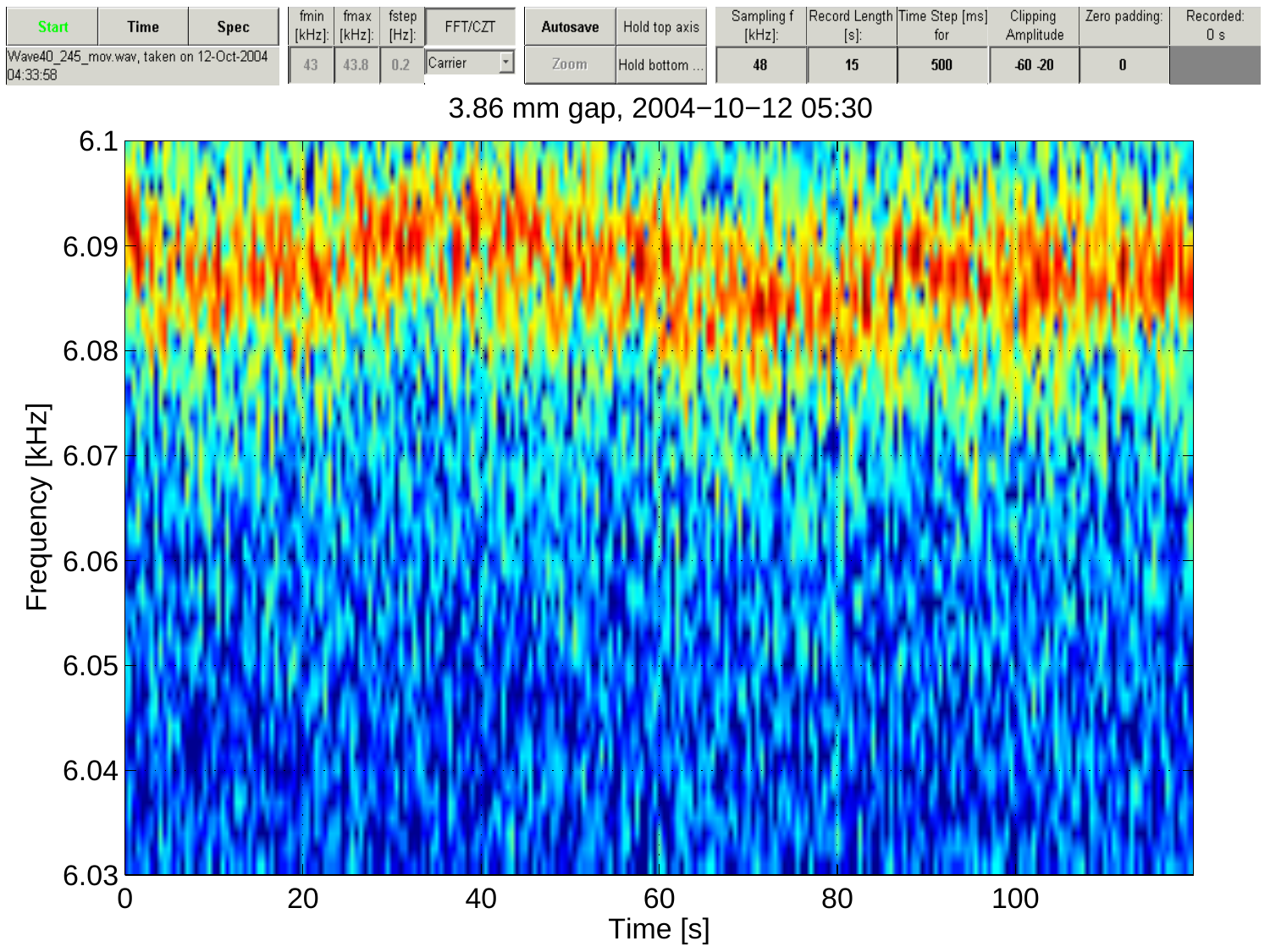

#### 3.86 mm gap, 2004−10−12 05:30

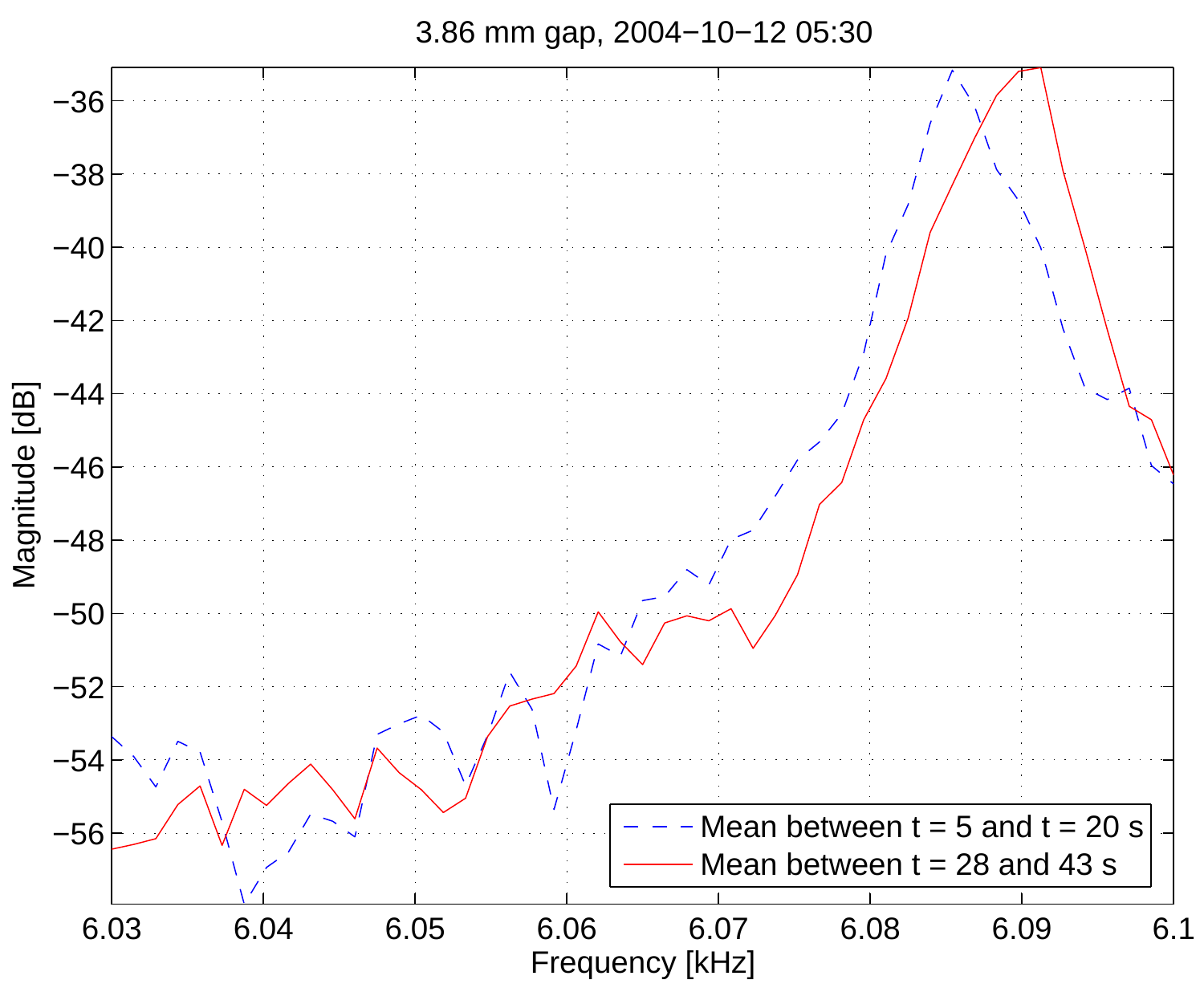3.86 mm gap, 2004−10−12 05:30

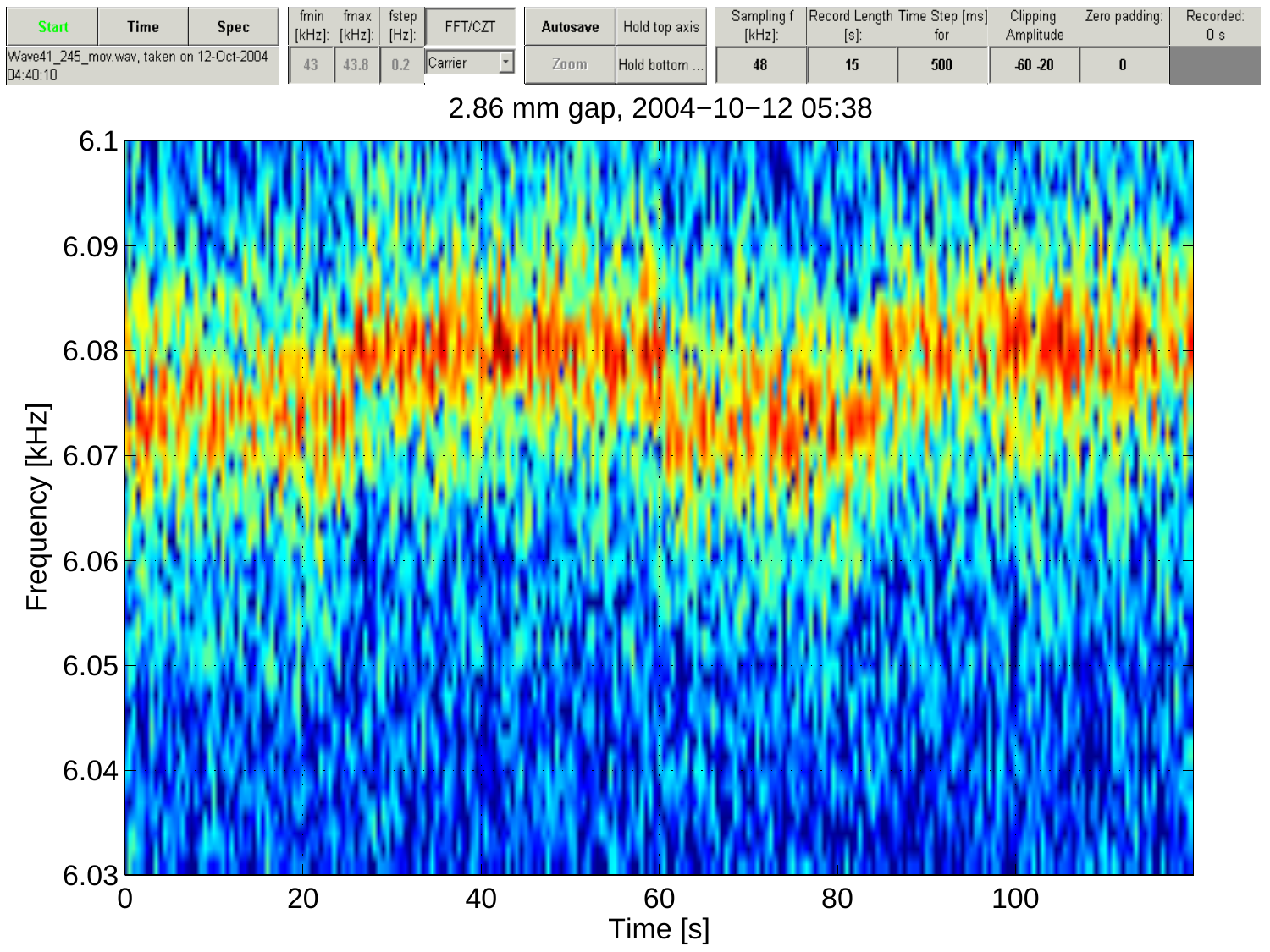| Start    | <b>Time</b>                               | <b>Spec</b> | fmin<br>$[kHz]$ : | fmax<br>$[kHz]$ : | fstep $\parallel$<br>$[Hz]$ : | FFT/CZT          | Autosave | Hold top axis | Sampling f<br>[kHz]: | Record Length Time Step [ms] | tor | Clipping<br>Amplitude | Zero padding: | Recorded:<br>J s |
|----------|-------------------------------------------|-------------|-------------------|-------------------|-------------------------------|------------------|----------|---------------|----------------------|------------------------------|-----|-----------------------|---------------|------------------|
| 04:40:10 | Wave41_245_mov.wav. taken on 12-Oct-2004_ |             |                   | 4.3.0             | 0.2                           | <b>I</b> Carrier | ≤oom     | Hold bottom   |                      | 15                           | 500 | $-60 - 20$            |               |                  |

#### 2.86 mm gap, 2004−10−12 05:38

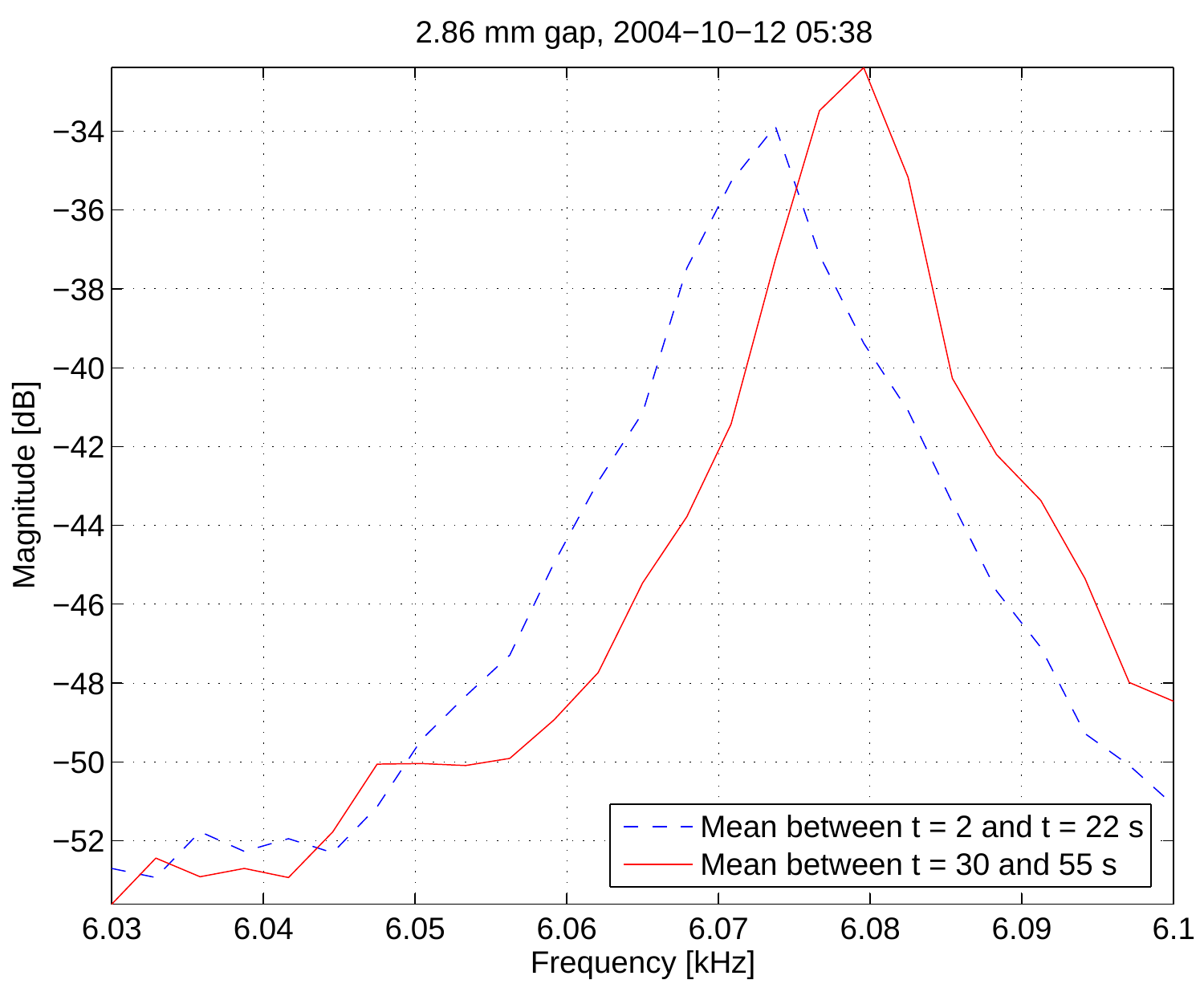2.86 mm gap, 2004−10−12 05:38

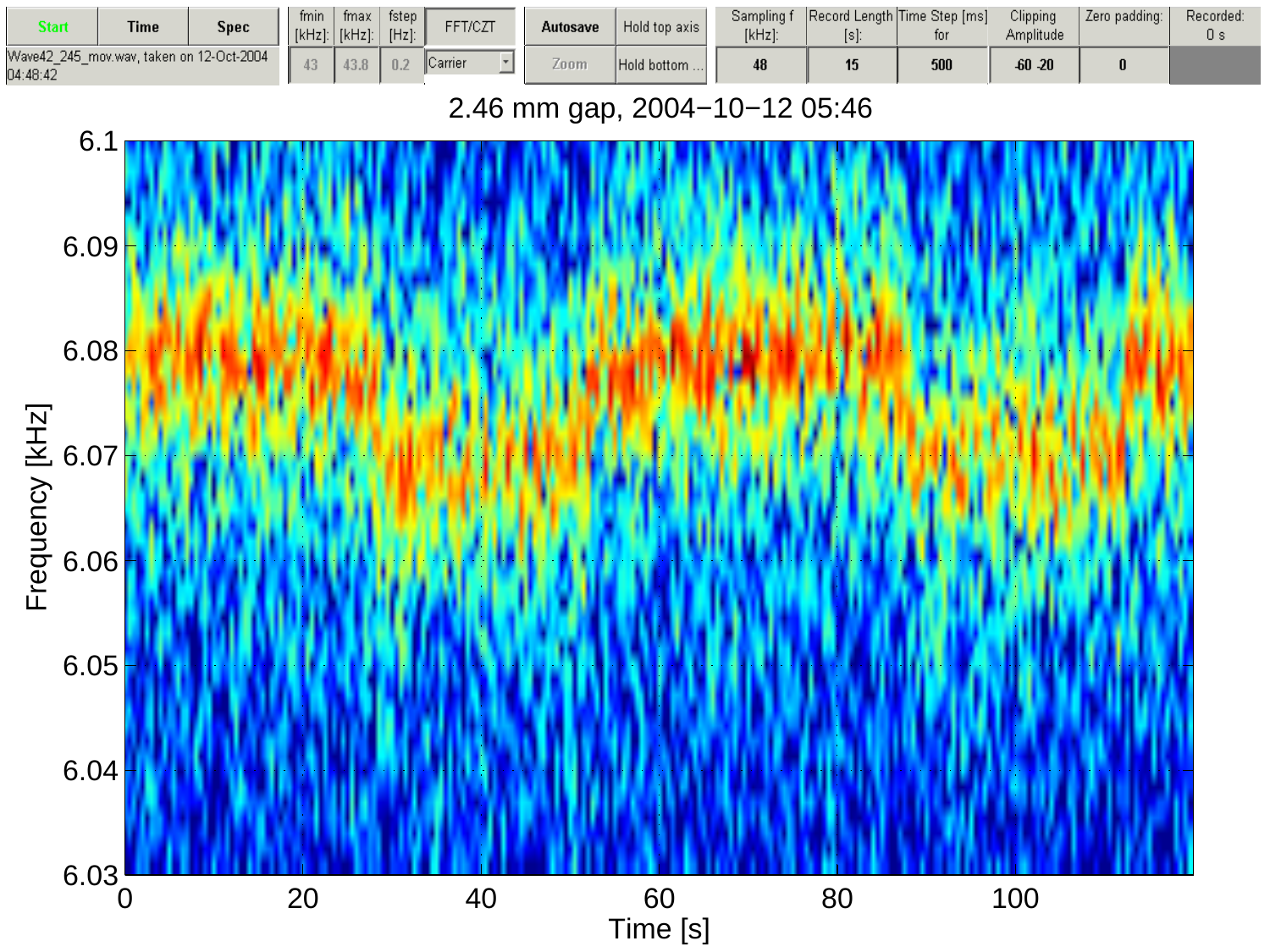| Start    | <b>Time</b>                               | <b>Spec</b> | fmin<br>$[kHz]$ : | fmax<br>$[kHz]$ : | fstep $\parallel$<br>$[Hz]$ : | FFT/CZT          | Autosave | Hold top axis | Sampling f<br>[kHz]: |    | Record Length Time Step [ms]<br>tor | Clipping<br>Amplitude | Zero padding: | Recorded:<br>J s |
|----------|-------------------------------------------|-------------|-------------------|-------------------|-------------------------------|------------------|----------|---------------|----------------------|----|-------------------------------------|-----------------------|---------------|------------------|
| 04:48:42 | Wave42_245_mov.wav. taken on 12-Oct-2004_ |             |                   | 4.3.0             | 0.2                           | <b>I</b> Carrier | ≤oom     | Hold bottom   |                      | 15 | 500                                 | $-60 - 20$            |               |                  |

#### 2.46 mm gap, 2004−10−12 05:46

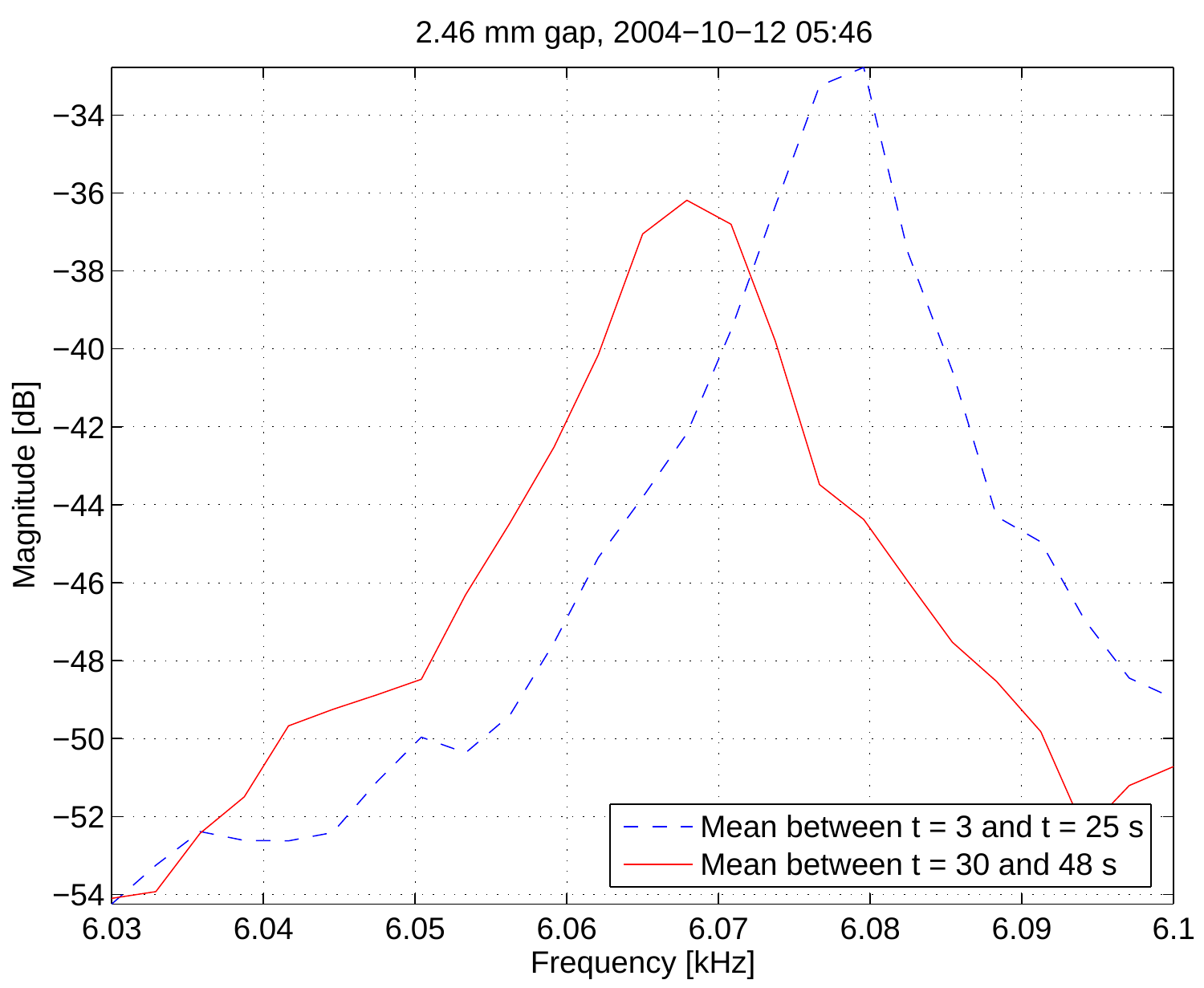

2.46 mm gap, 2004−10−12 05:46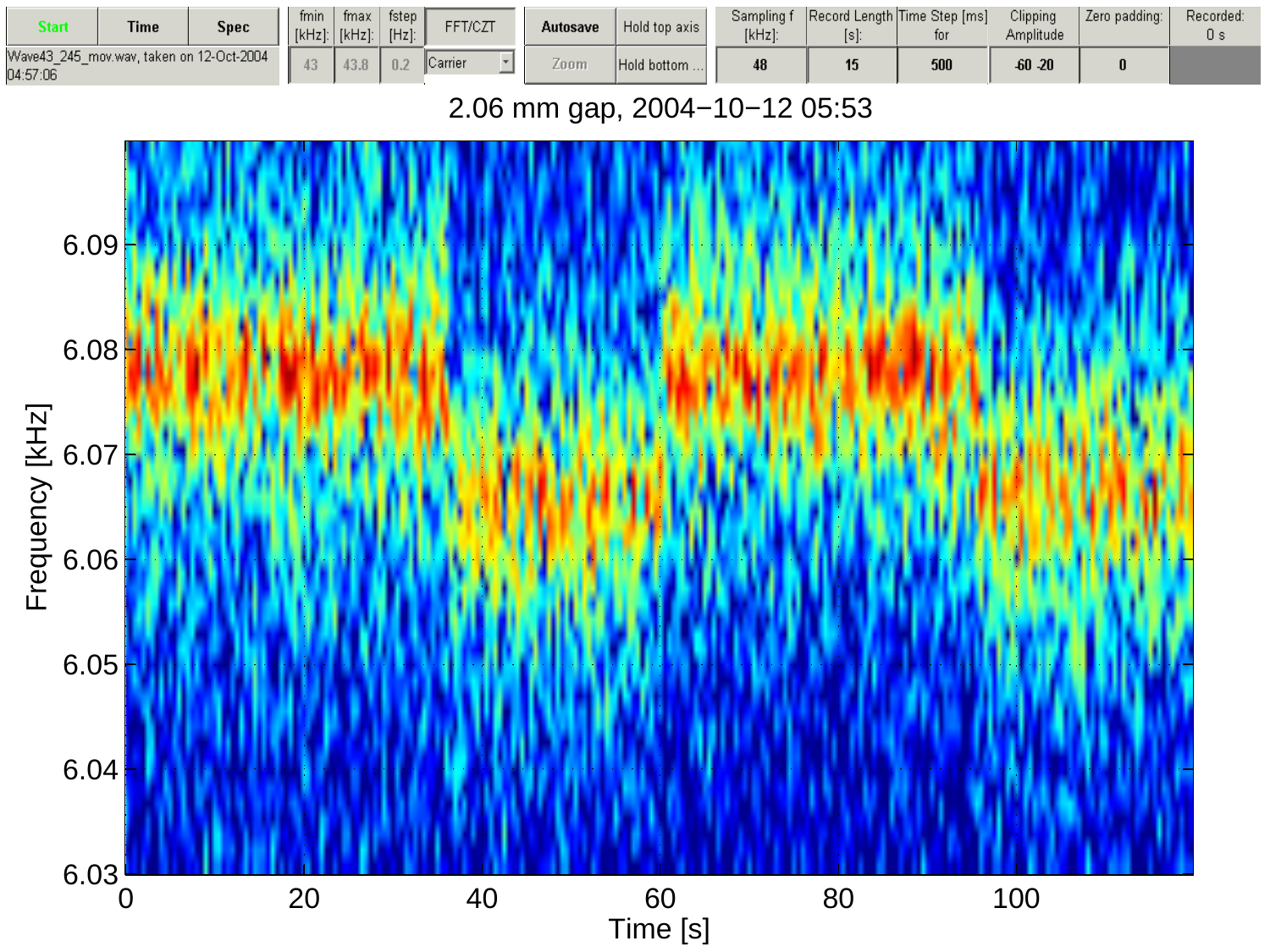| Start    | <b>Time</b>                              | Spec | fmin<br>$[kHz]$ : | fmax<br>[kHz]: | fstep $\parallel$<br>$[Hz]$ : | FFT/CZT        | Autosave | Hold top axis | Sampling f<br>$[kHz]$ : | [s]: | Record Length Time Step [ms]<br>tor | Clipping<br>Amplitude | Zero padding: | Recorded:<br>О з |
|----------|------------------------------------------|------|-------------------|----------------|-------------------------------|----------------|----------|---------------|-------------------------|------|-------------------------------------|-----------------------|---------------|------------------|
| 04:57:06 | Wave43 245 mov.wav. taken on 12-Oct-2004 |      |                   | 4.3.0          | 0.2                           | <b>Carrier</b> | ∠oom     | Hold bottom   |                         |      | 500                                 | $-60 - 20$            |               |                  |

#### 2.06 mm gap, 2004−10−12 05:53

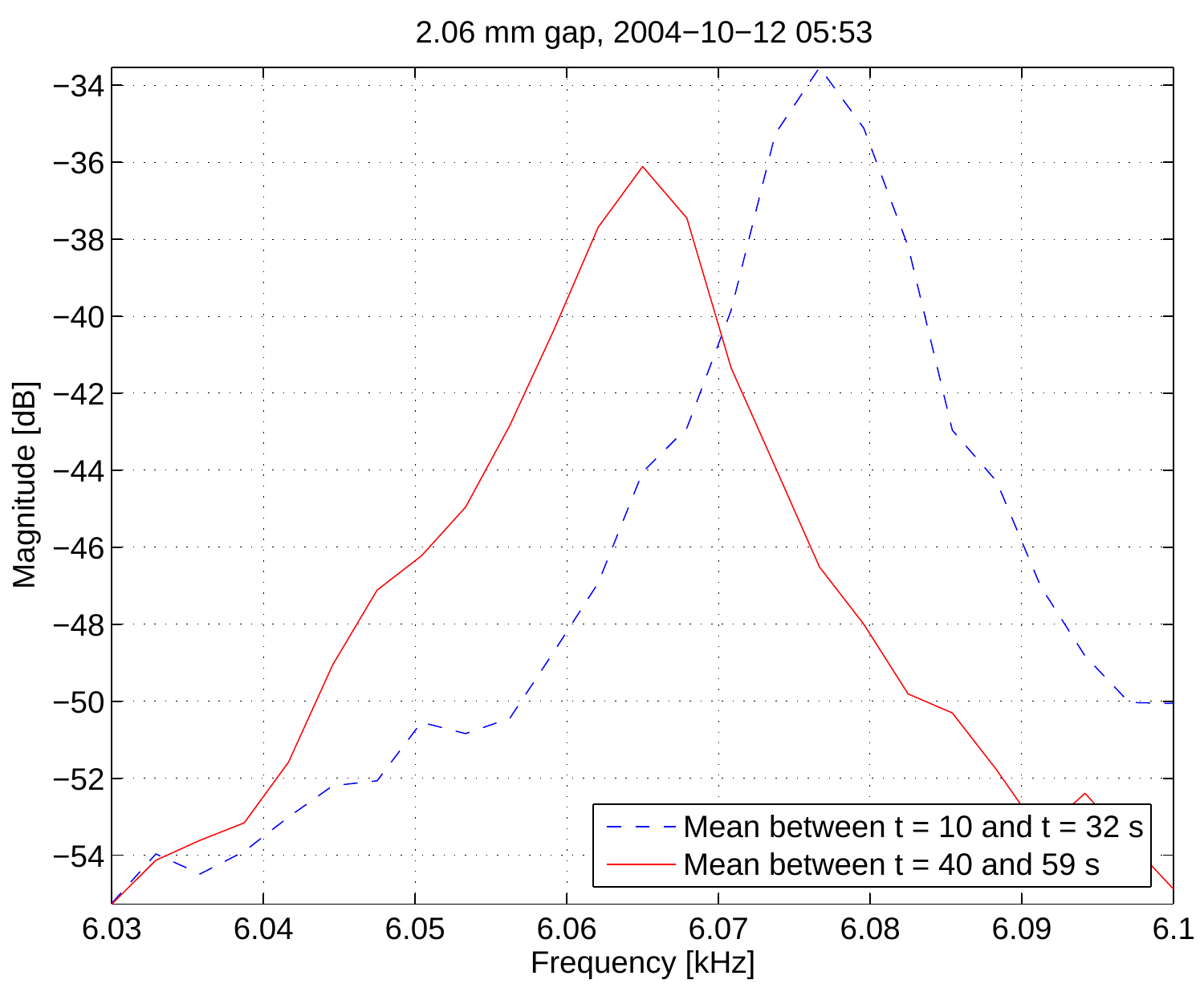2.06 mm gap, 2004−10−12 05:53

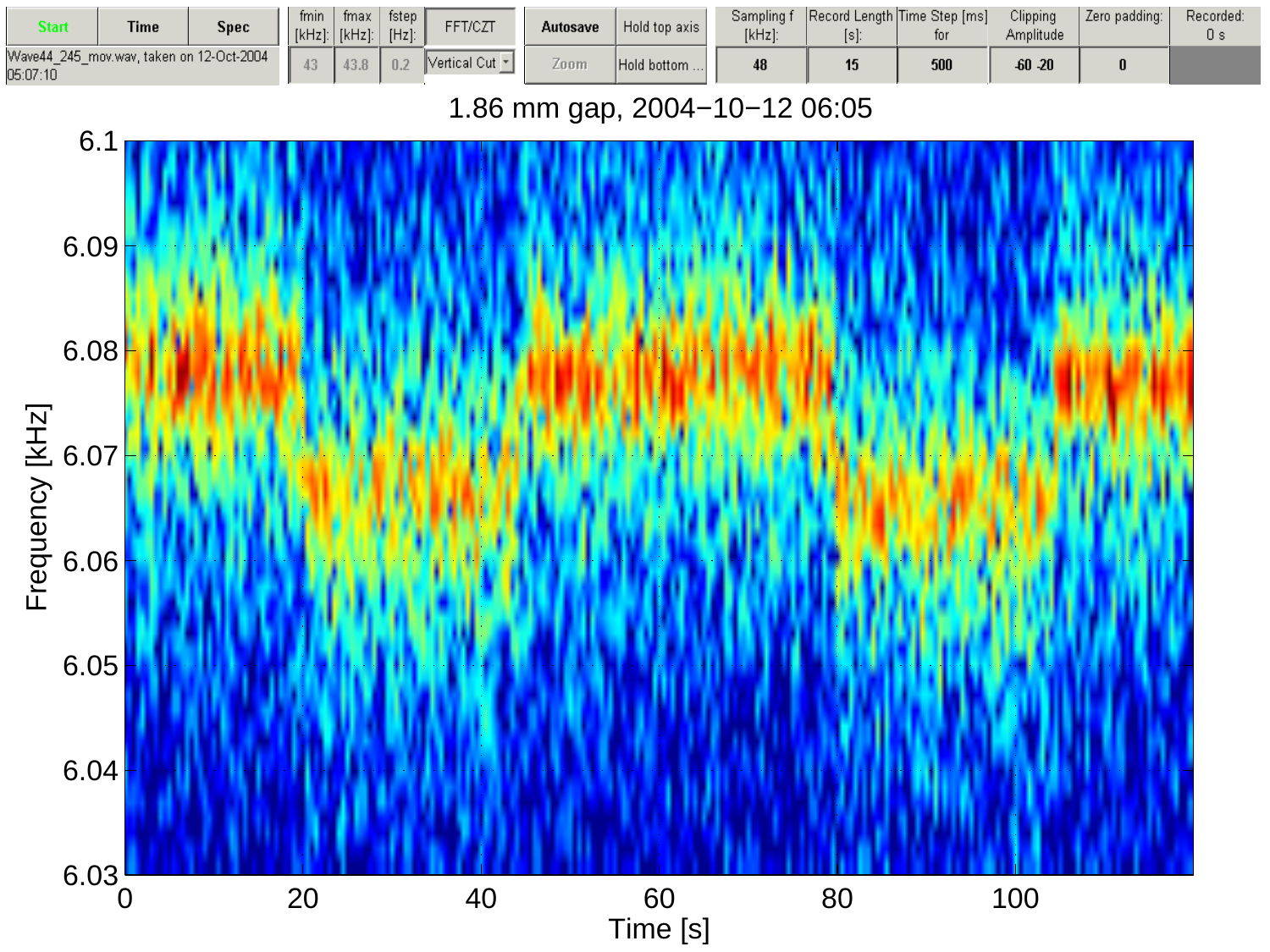| Start    | <b>Time</b> | <b>Spec</b>                              | fmin<br>[kHz] | fmax<br>$[kHz]$ : | fstep ,<br>$[Hz]$ : | FFT/CZT                       | Autosave | Hold top axis | Sampling f<br>[kHz]: | Record Length Time Step [ms]<br>tor | Clipping<br>Amplitude | Zero padding: | Recorded:<br>U S |
|----------|-------------|------------------------------------------|---------------|-------------------|---------------------|-------------------------------|----------|---------------|----------------------|-------------------------------------|-----------------------|---------------|------------------|
| 05:07:10 |             | Wave44_245_mov.wav, taken on 12-Oct-2004 |               |                   | 0.2                 | $ $ Vertical Cut $\mathbf{v}$ | Zoom     | Hold bottom   |                      | 500                                 | $-60 - 20$            |               |                  |

#### 1.86 mm gap, 2004−10−12 06:05

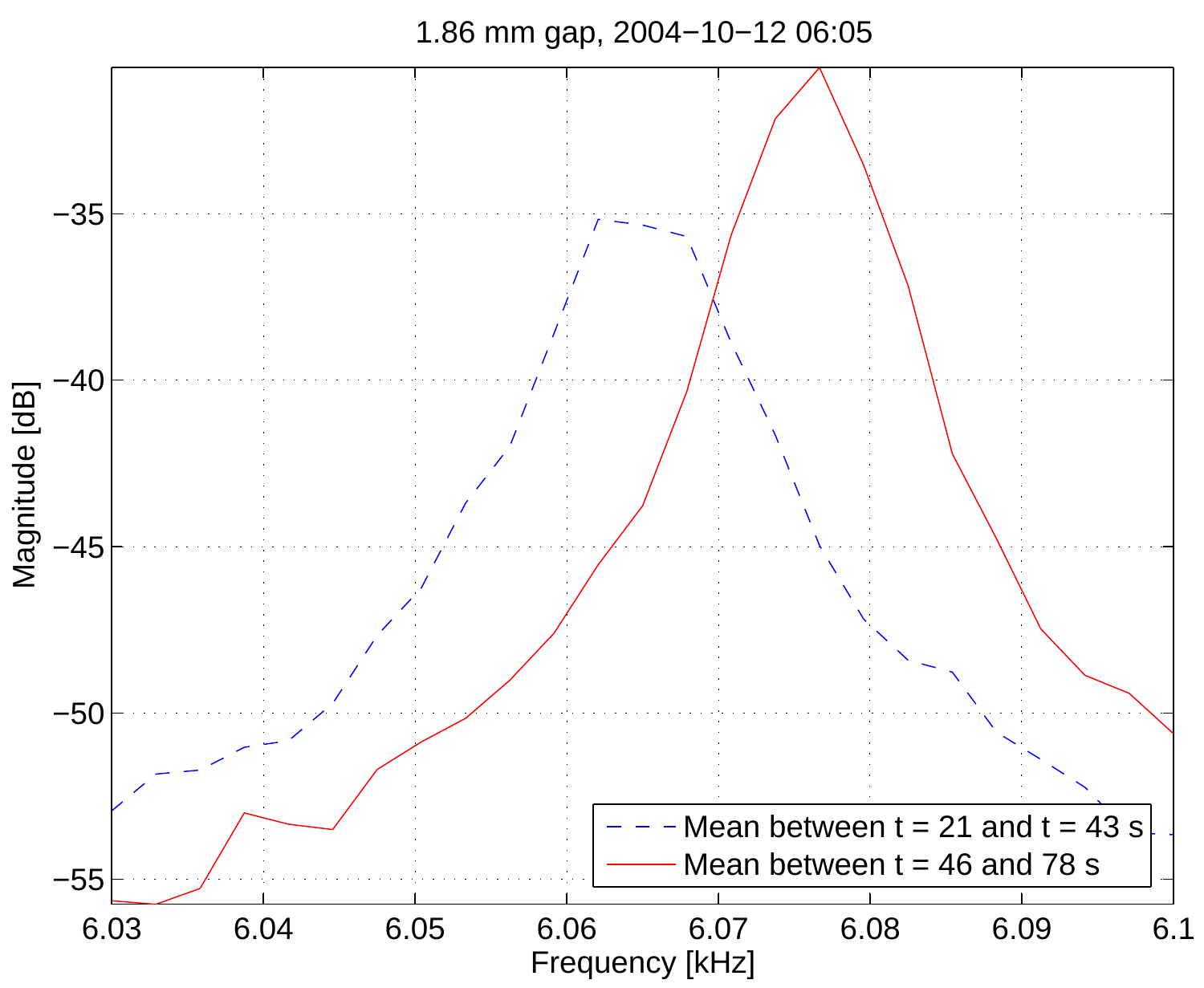

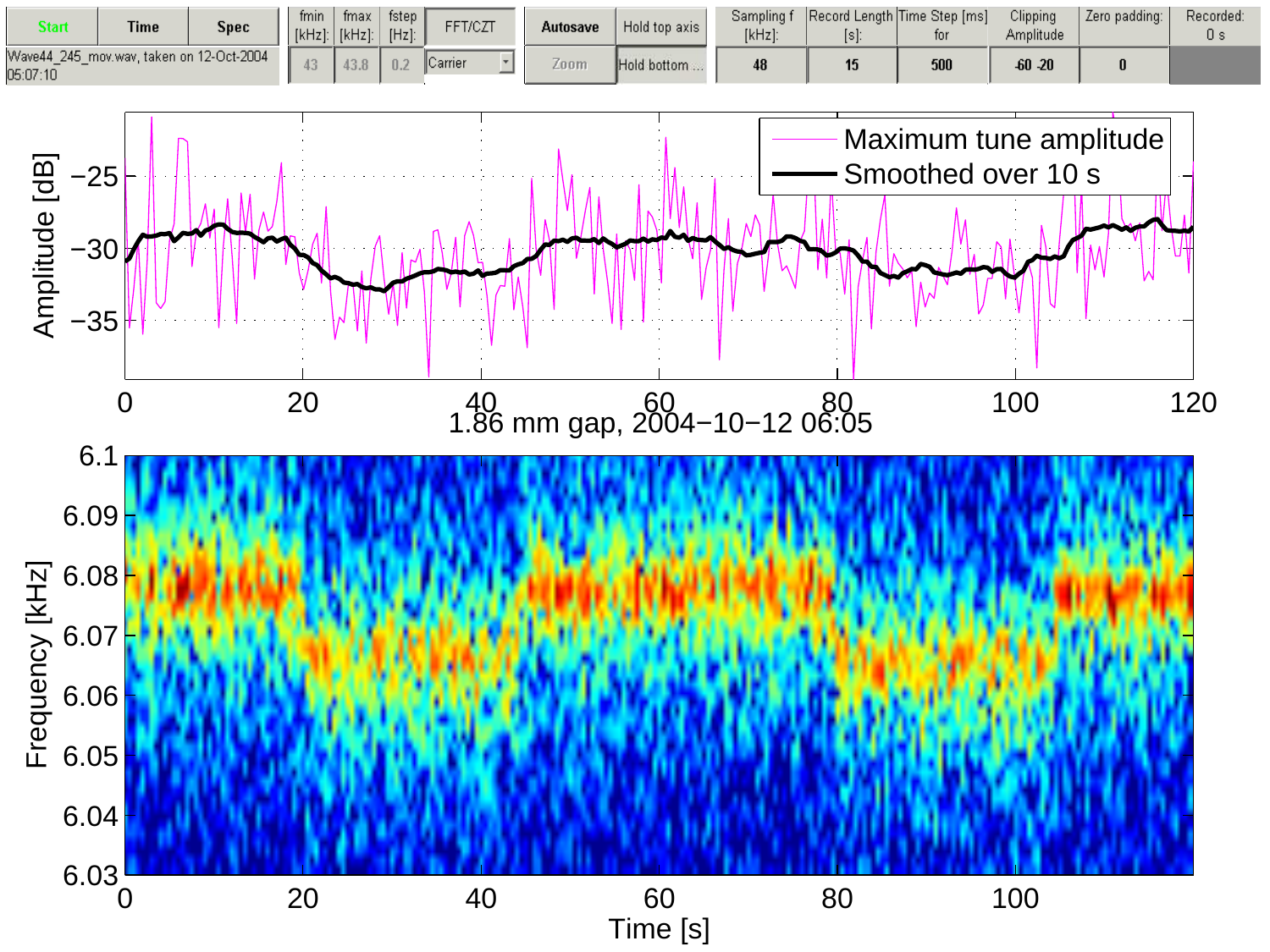